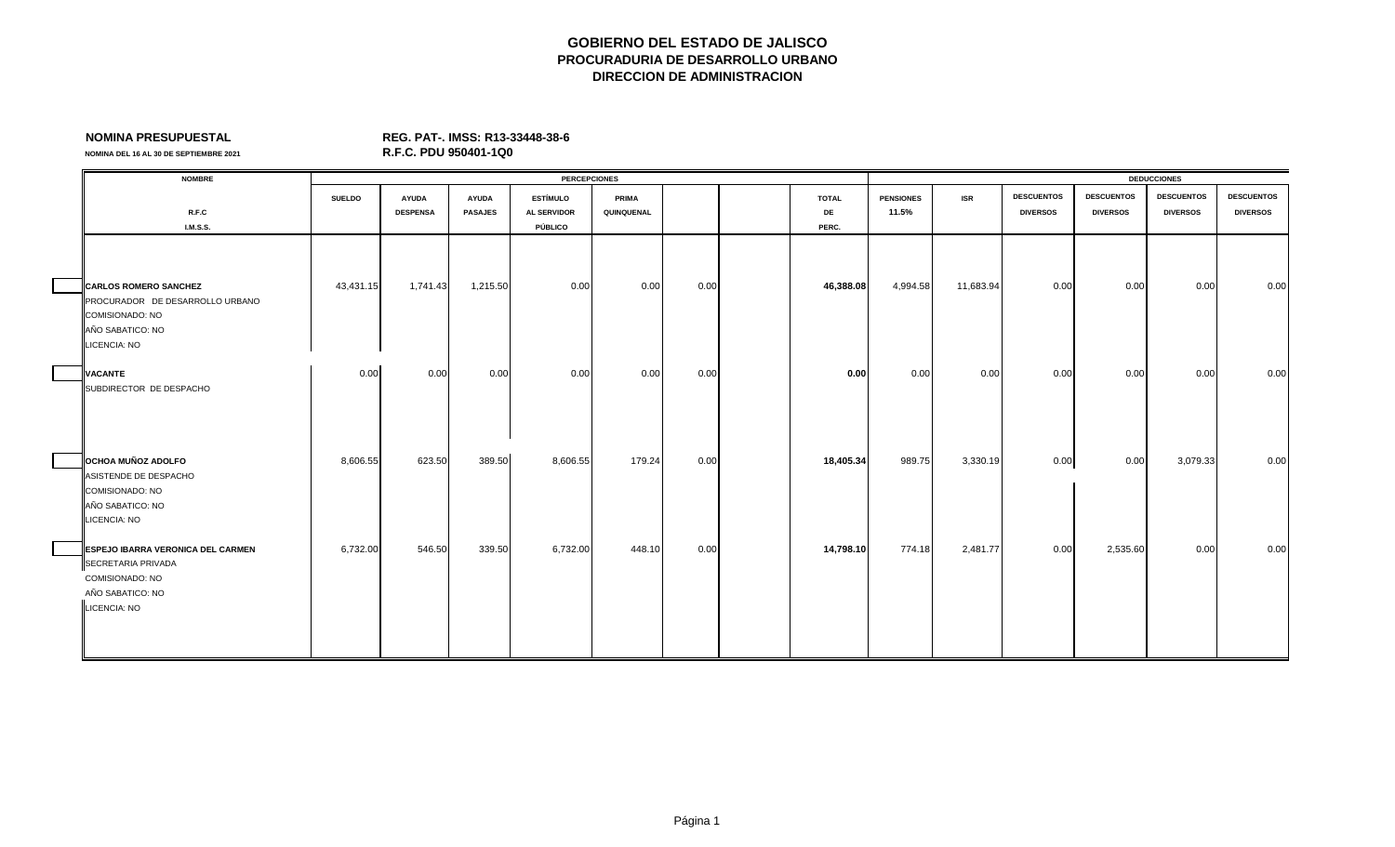**NOMINA DEL 16 AL 30 DE SEPTIEMBRE 2021** 

| <b>NOMBRE</b>                     |               |                 |                | <b>PERCEPCIONES</b> |              |      |              |                  |            |                   |                   | <b>DEDUCCIONES</b> |                   |
|-----------------------------------|---------------|-----------------|----------------|---------------------|--------------|------|--------------|------------------|------------|-------------------|-------------------|--------------------|-------------------|
|                                   | <b>SUELDO</b> | <b>AYUDA</b>    | <b>AYUDA</b>   | <b>ESTÍMULO</b>     | <b>PRIMA</b> |      | <b>TOTAL</b> | <b>PENSIONES</b> | <b>ISR</b> | <b>DESCUENTOS</b> | <b>DESCUENTOS</b> | <b>DESCUENTOS</b>  | <b>DESCUENTOS</b> |
| R.F.C                             |               | <b>DESPENSA</b> | <b>PASAJES</b> | <b>AL SERVIDOR</b>  | QUINQUENAL   |      | DE           | 11.5%            |            | <b>DIVERSOS</b>   | <b>DIVERSOS</b>   | <b>DIVERSOS</b>    | <b>DIVERSOS</b>   |
| <b>I.M.S.S.</b>                   |               |                 |                | PÚBLICO             |              |      | PERC.        |                  |            |                   |                   |                    |                   |
|                                   |               |                 |                |                     |              |      |              |                  |            |                   |                   |                    |                   |
|                                   |               |                 |                |                     |              |      |              |                  |            |                   |                   |                    |                   |
| <b>CARLOS ROMERO SANCHEZ</b>      | 43,431.15     | 1,741.43        | 1,215.50       | 0.00                | 0.00         | 0.00 | 46,388.08    | 4,994.58         | 11,683.94  | 0.00              | 0.00              | 0.00               | 0.00              |
| PROCURADOR DE DESARROLLO URBANO   |               |                 |                |                     |              |      |              |                  |            |                   |                   |                    |                   |
| COMISIONADO: NO                   |               |                 |                |                     |              |      |              |                  |            |                   |                   |                    |                   |
| AÑO SABATICO: NO                  |               |                 |                |                     |              |      |              |                  |            |                   |                   |                    |                   |
| LICENCIA: NO                      |               |                 |                |                     |              |      |              |                  |            |                   |                   |                    |                   |
|                                   |               |                 |                |                     |              |      |              |                  |            |                   |                   |                    |                   |
| <b>VACANTE</b>                    | 0.00          | 0.00            | 0.00           | 0.00                | 0.00         | 0.00 | 0.00         | 0.00             | 0.00       | 0.00              | 0.00              | 0.00               | 0.00              |
| SUBDIRECTOR DE DESPACHO           |               |                 |                |                     |              |      |              |                  |            |                   |                   |                    |                   |
|                                   |               |                 |                |                     |              |      |              |                  |            |                   |                   |                    |                   |
|                                   |               |                 |                |                     |              |      |              |                  |            |                   |                   |                    |                   |
|                                   |               |                 |                |                     |              |      |              |                  |            |                   |                   |                    |                   |
|                                   |               |                 |                |                     |              |      |              |                  |            |                   |                   |                    |                   |
| <b>OCHOA MUÑOZ ADOLFO</b>         | 8,606.55      | 623.50          | 389.50         | 8,606.55            | 179.24       | 0.00 | 18,405.34    | 989.75           | 3,330.19   | 0.00              | 0.00              | 3,079.33           | 0.00              |
| ASISTENDE DE DESPACHO             |               |                 |                |                     |              |      |              |                  |            |                   |                   |                    |                   |
| COMISIONADO: NO                   |               |                 |                |                     |              |      |              |                  |            |                   |                   |                    |                   |
| AÑO SABATICO: NO                  |               |                 |                |                     |              |      |              |                  |            |                   |                   |                    |                   |
| LICENCIA: NO                      |               |                 |                |                     |              |      |              |                  |            |                   |                   |                    |                   |
| ESPEJO IBARRA VERONICA DEL CARMEN | 6,732.00      | 546.50          | 339.50         | 6,732.00            | 448.10       | 0.00 | 14,798.10    | 774.18           | 2,481.77   | 0.00              | 2,535.60          | 0.00               | 0.00              |
| SECRETARIA PRIVADA                |               |                 |                |                     |              |      |              |                  |            |                   |                   |                    |                   |
| <b>COMISIONADO: NO</b>            |               |                 |                |                     |              |      |              |                  |            |                   |                   |                    |                   |
| AÑO SABATICO: NO                  |               |                 |                |                     |              |      |              |                  |            |                   |                   |                    |                   |
| LICENCIA: NO                      |               |                 |                |                     |              |      |              |                  |            |                   |                   |                    |                   |
|                                   |               |                 |                |                     |              |      |              |                  |            |                   |                   |                    |                   |
|                                   |               |                 |                |                     |              |      |              |                  |            |                   |                   |                    |                   |
|                                   |               |                 |                |                     |              |      |              |                  |            |                   |                   |                    |                   |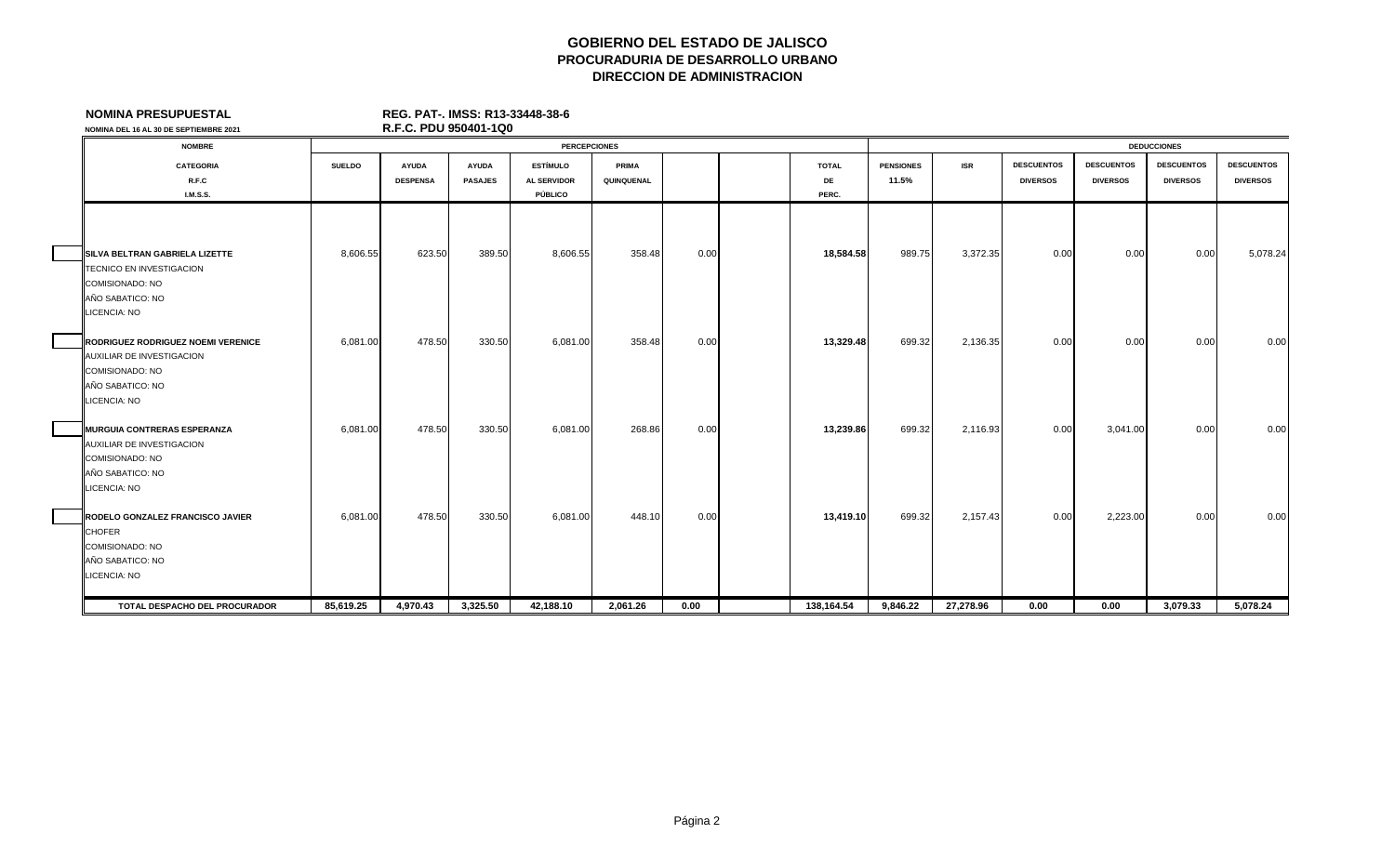| <b>NOMINA PRESUPUESTAL</b>                                                                                                    |               | REG. PAT-. IMSS: R13-33448-38-6 |                |                     |            |      |              |                  |            |                   |                   |                    |                   |
|-------------------------------------------------------------------------------------------------------------------------------|---------------|---------------------------------|----------------|---------------------|------------|------|--------------|------------------|------------|-------------------|-------------------|--------------------|-------------------|
| NOMINA DEL 16 AL 30 DE SEPTIEMBRE 2021                                                                                        |               | R.F.C. PDU 950401-1Q0           |                |                     |            |      |              |                  |            |                   |                   |                    |                   |
| <b>NOMBRE</b>                                                                                                                 |               |                                 |                | <b>PERCEPCIONES</b> |            |      |              |                  |            |                   |                   | <b>DEDUCCIONES</b> |                   |
| <b>CATEGORIA</b>                                                                                                              | <b>SUELDO</b> | <b>AYUDA</b>                    | <b>AYUDA</b>   | <b>ESTÍMULO</b>     | PRIMA      |      | <b>TOTAL</b> | <b>PENSIONES</b> | <b>ISR</b> | <b>DESCUENTOS</b> | <b>DESCUENTOS</b> | <b>DESCUENTOS</b>  | <b>DESCUENTOS</b> |
| R.F.C                                                                                                                         |               | <b>DESPENSA</b>                 | <b>PASAJES</b> | <b>AL SERVIDOR</b>  | QUINQUENAL |      | DE           | 11.5%            |            | <b>DIVERSOS</b>   | <b>DIVERSOS</b>   | <b>DIVERSOS</b>    | <b>DIVERSOS</b>   |
| <b>I.M.S.S.</b>                                                                                                               |               |                                 |                | PÚBLICO             |            |      | PERC.        |                  |            |                   |                   |                    |                   |
| <b>ISILVA BELTRAN GABRIELA LIZETTE</b>                                                                                        | 8,606.55      | 623.50                          | 389.50         | 8,606.55            | 358.48     | 0.00 | 18,584.58    | 989.75           | 3,372.35   | 0.00              | 0.00              | 0.00               | 5,078.24          |
| TECNICO EN INVESTIGACION<br>COMISIONADO: NO<br>AÑO SABATICO: NO<br><b>LICENCIA: NO</b>                                        |               |                                 |                |                     |            |      |              |                  |            |                   |                   |                    |                   |
| RODRIGUEZ RODRIGUEZ NOEMI VERENICE<br>AUXILIAR DE INVESTIGACION<br><b>COMISIONADO: NO</b><br>AÑO SABATICO: NO<br>LICENCIA: NO | 6,081.00      | 478.50                          | 330.50         | 6,081.00            | 358.48     | 0.00 | 13,329.48    | 699.32           | 2,136.35   | 0.00              | 0.00              | 0.00               | 0.00              |
| <b>MURGUIA CONTRERAS ESPERANZA</b><br>AUXILIAR DE INVESTIGACION<br>COMISIONADO: NO<br>AÑO SABATICO: NO<br><b>LICENCIA: NO</b> | 6,081.00      | 478.50                          | 330.50         | 6,081.00            | 268.86     | 0.00 | 13,239.86    | 699.32           | 2,116.93   | 0.00              | 3,041.00          | 0.00               | 0.00              |
| RODELO GONZALEZ FRANCISCO JAVIER<br><b>CHOFER</b><br>COMISIONADO: NO<br>AÑO SABATICO: NO<br>LICENCIA: NO                      | 6,081.00      | 478.50                          | 330.50         | 6,081.00            | 448.10     | 0.00 | 13,419.10    | 699.32           | 2,157.43   | 0.00              | 2,223.00          | 0.00               | 0.00              |
| TOTAL DESPACHO DEL PROCURADOR                                                                                                 | 85.619.25     | 4.970.43                        | 3,325.50       | 42.188.10           | 2.061.26   | 0.00 | 138.164.54   | 9.846.22         | 27.278.96  | 0.00              | 0.00              | 3,079.33           | 5.078.24          |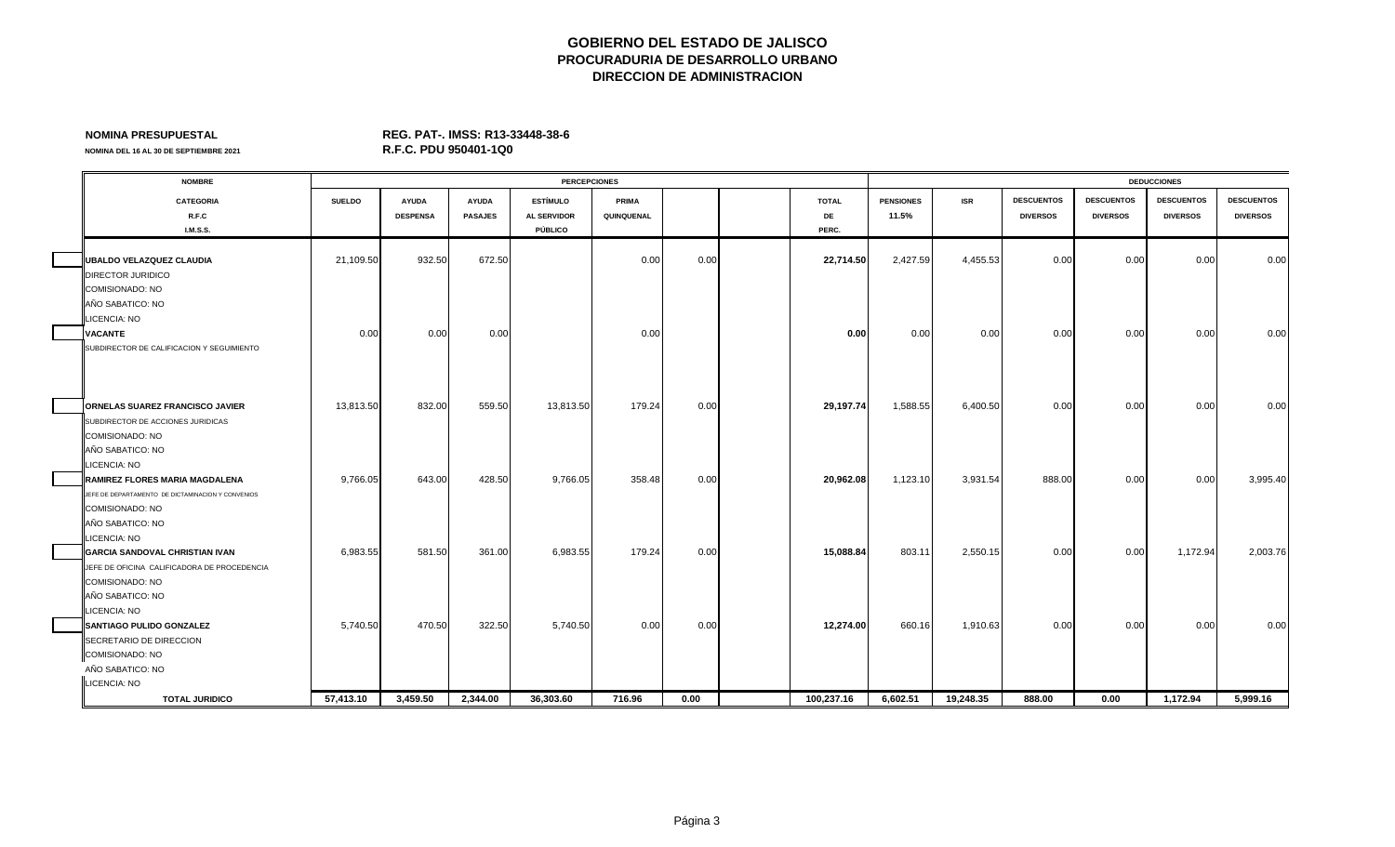**NOMINA DEL 16 AL 30 DE SEPTIEMBRE 2021** 

| <b>NOMBRE</b>                                     |               |                 |                | <b>PERCEPCIONES</b> |            |      |              |                  |            |                   |                   | <b>DEDUCCIONES</b> |                   |
|---------------------------------------------------|---------------|-----------------|----------------|---------------------|------------|------|--------------|------------------|------------|-------------------|-------------------|--------------------|-------------------|
| <b>CATEGORIA</b>                                  | <b>SUELDO</b> | <b>AYUDA</b>    | <b>AYUDA</b>   | <b>ESTÍMULO</b>     | PRIMA      |      | <b>TOTAL</b> | <b>PENSIONES</b> | <b>ISR</b> | <b>DESCUENTOS</b> | <b>DESCUENTOS</b> | <b>DESCUENTOS</b>  | <b>DESCUENTOS</b> |
| R.F.C                                             |               | <b>DESPENSA</b> | <b>PASAJES</b> | <b>AL SERVIDOR</b>  | QUINQUENAL |      | DE           | 11.5%            |            | <b>DIVERSOS</b>   | <b>DIVERSOS</b>   | <b>DIVERSOS</b>    | <b>DIVERSOS</b>   |
| I.M.S.S.                                          |               |                 |                | PÚBLICO             |            |      | PERC.        |                  |            |                   |                   |                    |                   |
|                                                   |               |                 |                |                     |            |      |              |                  |            |                   |                   |                    |                   |
| UBALDO VELAZQUEZ CLAUDIA                          | 21,109.50     | 932.50          | 672.50         |                     | 0.00       | 0.00 | 22,714.50    | 2,427.59         | 4,455.53   | 0.00              | 0.00              | 0.00               | 0.00              |
| DIRECTOR JURIDICO                                 |               |                 |                |                     |            |      |              |                  |            |                   |                   |                    |                   |
| COMISIONADO: NO                                   |               |                 |                |                     |            |      |              |                  |            |                   |                   |                    |                   |
| AÑO SABATICO: NO                                  |               |                 |                |                     |            |      |              |                  |            |                   |                   |                    |                   |
| LICENCIA: NO                                      |               |                 |                |                     |            |      |              |                  |            |                   |                   |                    |                   |
| <b>VACANTE</b>                                    | 0.00          | 0.00            | 0.00           |                     | 0.00       |      | 0.00         | 0.00             | 0.00       | 0.00              | 0.00              | 0.00               | 0.00              |
| SUBDIRECTOR DE CALIFICACION Y SEGUIMIENTO         |               |                 |                |                     |            |      |              |                  |            |                   |                   |                    |                   |
|                                                   |               |                 |                |                     |            |      |              |                  |            |                   |                   |                    |                   |
|                                                   |               |                 |                |                     |            |      |              |                  |            |                   |                   |                    |                   |
|                                                   |               |                 |                |                     |            |      |              |                  |            |                   |                   |                    |                   |
| ORNELAS SUAREZ FRANCISCO JAVIER                   | 13,813.50     | 832.00          | 559.50         | 13,813.50           | 179.24     | 0.00 | 29,197.74    | 1,588.55         | 6,400.50   | 0.00              | 0.00              | 0.00               | 0.00              |
| SUBDIRECTOR DE ACCIONES JURIDICAS                 |               |                 |                |                     |            |      |              |                  |            |                   |                   |                    |                   |
| COMISIONADO: NO                                   |               |                 |                |                     |            |      |              |                  |            |                   |                   |                    |                   |
| AÑO SABATICO: NO                                  |               |                 |                |                     |            |      |              |                  |            |                   |                   |                    |                   |
| LICENCIA: NO                                      |               |                 |                |                     |            |      |              |                  |            |                   |                   |                    |                   |
| RAMIREZ FLORES MARIA MAGDALENA                    | 9,766.05      | 643.00          | 428.50         | 9,766.05            | 358.48     | 0.00 | 20,962.08    | 1,123.10         | 3,931.54   | 888.00            | 0.00              | 0.00               | 3,995.40          |
| JEFE DE DEPARTAMENTO DE DICTAMINACION Y CONVENIOS |               |                 |                |                     |            |      |              |                  |            |                   |                   |                    |                   |
| COMISIONADO: NO                                   |               |                 |                |                     |            |      |              |                  |            |                   |                   |                    |                   |
| AÑO SABATICO: NO                                  |               |                 |                |                     |            |      |              |                  |            |                   |                   |                    |                   |
| LICENCIA: NO                                      |               |                 |                |                     |            |      |              |                  |            |                   |                   |                    |                   |
| <b>GARCIA SANDOVAL CHRISTIAN IVAN</b>             | 6,983.55      | 581.50          | 361.00         | 6,983.55            | 179.24     | 0.00 | 15,088.84    | 803.11           | 2,550.15   | 0.00              | 0.00              | 1,172.94           | 2,003.76          |
| JEFE DE OFICINA CALIFICADORA DE PROCEDENCIA       |               |                 |                |                     |            |      |              |                  |            |                   |                   |                    |                   |
| COMISIONADO: NO                                   |               |                 |                |                     |            |      |              |                  |            |                   |                   |                    |                   |
| AÑO SABATICO: NO                                  |               |                 |                |                     |            |      |              |                  |            |                   |                   |                    |                   |
| LICENCIA: NO                                      |               |                 |                |                     |            |      |              |                  |            |                   |                   |                    |                   |
| SANTIAGO PULIDO GONZALEZ                          | 5,740.50      | 470.50          | 322.50         | 5,740.50            | 0.00       | 0.00 | 12,274.00    | 660.16           | 1,910.63   | 0.00              | 0.00              | 0.00               | 0.00              |
| SECRETARIO DE DIRECCION<br>COMISIONADO: NO        |               |                 |                |                     |            |      |              |                  |            |                   |                   |                    |                   |
| AÑO SABATICO: NO                                  |               |                 |                |                     |            |      |              |                  |            |                   |                   |                    |                   |
| LICENCIA: NO                                      |               |                 |                |                     |            |      |              |                  |            |                   |                   |                    |                   |
| <b>TOTAL JURIDICO</b>                             | 57.413.10     | 3,459.50        | 2.344.00       | 36,303.60           | 716.96     | 0.00 | 100,237.16   | 6.602.51         | 19.248.35  | 888.00            | 0.00              | 1,172.94           | 5.999.16          |
|                                                   |               |                 |                |                     |            |      |              |                  |            |                   |                   |                    |                   |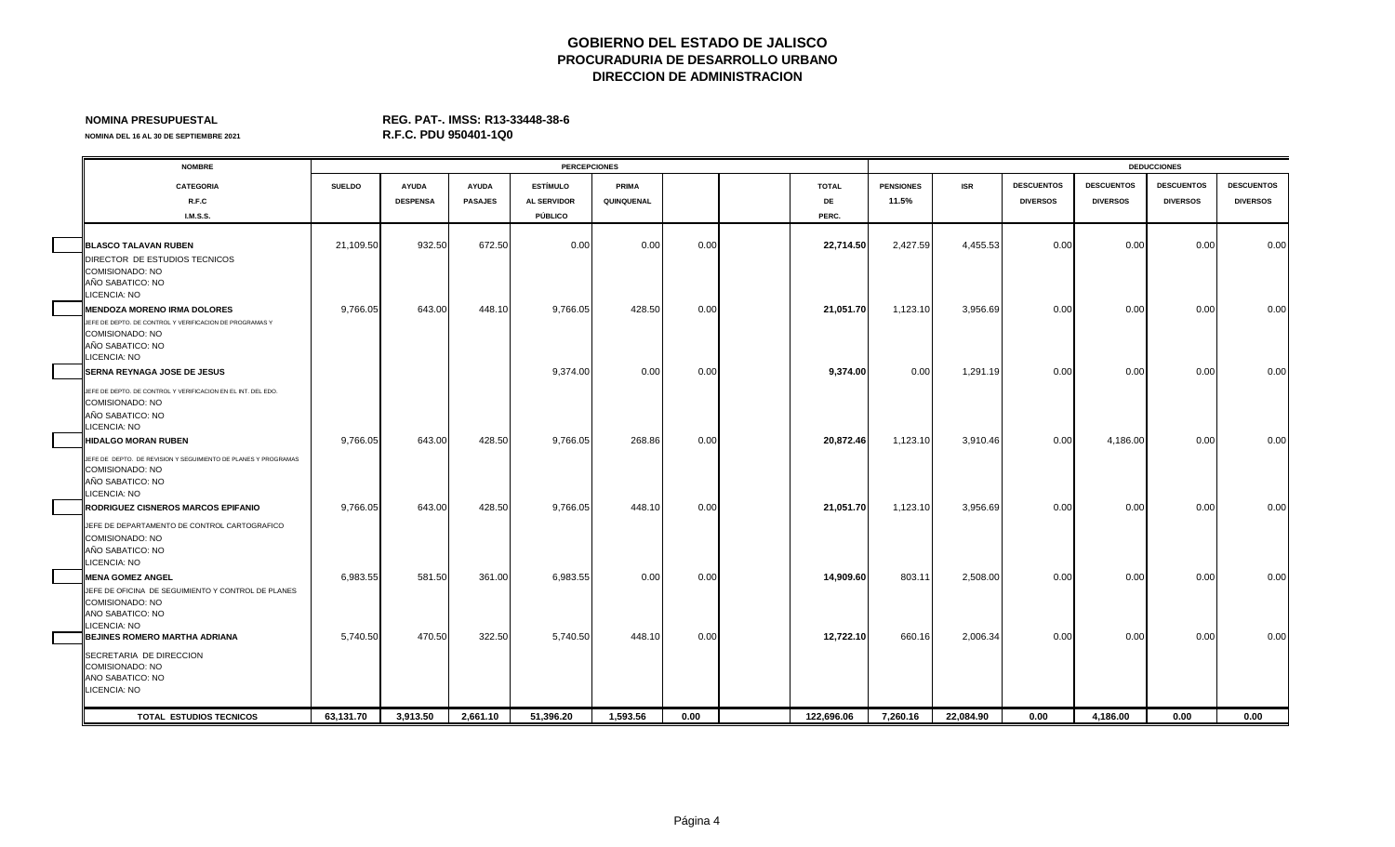# **NOMINA PRESUPUESTAL REG. PAT-. IMSS: R13-33448-38-6**

| <b>NOMBRE</b>                                                                                                                                                   |               |                 |                | <b>PERCEPCIONES</b> |              |      |              |                  |            |                   |                   | <b>DEDUCCIONES</b> |                   |
|-----------------------------------------------------------------------------------------------------------------------------------------------------------------|---------------|-----------------|----------------|---------------------|--------------|------|--------------|------------------|------------|-------------------|-------------------|--------------------|-------------------|
| <b>CATEGORIA</b>                                                                                                                                                | <b>SUELDO</b> | <b>AYUDA</b>    | <b>AYUDA</b>   | <b>ESTÍMULO</b>     | <b>PRIMA</b> |      | <b>TOTAL</b> | <b>PENSIONES</b> | <b>ISR</b> | <b>DESCUENTOS</b> | <b>DESCUENTOS</b> | <b>DESCUENTOS</b>  | <b>DESCUENTOS</b> |
| R.F.C                                                                                                                                                           |               | <b>DESPENSA</b> | <b>PASAJES</b> | <b>AL SERVIDOR</b>  | QUINQUENAL   |      | DE           | 11.5%            |            | <b>DIVERSOS</b>   | <b>DIVERSOS</b>   | <b>DIVERSOS</b>    | <b>DIVERSOS</b>   |
| <b>I.M.S.S.</b>                                                                                                                                                 |               |                 |                | PÚBLICO             |              |      | PERC.        |                  |            |                   |                   |                    |                   |
| <b>BLASCO TALAVAN RUBEN</b><br>DIRECTOR DE ESTUDIOS TECNICOS<br>COMISIONADO: NO<br>AÑO SABATICO: NO<br>LICENCIA: NO                                             | 21,109.50     | 932.50          | 672.50         | 0.00                | 0.00         | 0.00 | 22,714.50    | 2,427.59         | 4,455.53   | 0.00              | 0.00              | 0.00               | 0.00              |
| <b>MENDOZA MORENO IRMA DOLORES</b><br>JEFE DE DEPTO. DE CONTROL Y VERIFICACION DE PROGRAMAS Y<br>COMISIONADO: NO<br>AÑO SABATICO: NO<br>LICENCIA: NO            | 9,766.05      | 643.00          | 448.10         | 9,766.05            | 428.50       | 0.00 | 21,051.70    | 1,123.10         | 3,956.69   | 0.00              | 0.00              | 0.00               | 0.00              |
| <b>SERNA REYNAGA JOSE DE JESUS</b><br>JEFE DE DEPTO. DE CONTROL Y VERIFICACION EN EL INT. DEL EDO.<br>COMISIONADO: NO<br>AÑO SABATICO: NO<br><b>ICENCIA: NO</b> |               |                 |                | 9,374.00            | 0.00         | 0.00 | 9,374.00     | 0.00             | 1,291.19   | 0.00              | 0.00              | 0.00               | 0.00              |
| <b>HIDALGO MORAN RUBEN</b><br>JEFE DE DEPTO. DE REVISION Y SEGUIMIENTO DE PLANES Y PROGRAMAS<br>COMISIONADO: NO<br>AÑO SABATICO: NO<br>LICENCIA: NO             | 9,766.05      | 643.00          | 428.50         | 9,766.05            | 268.86       | 0.00 | 20,872.46    | 1,123.10         | 3,910.46   | 0.00              | 4,186.00          | 0.00               | 0.00              |
| RODRIGUEZ CISNEROS MARCOS EPIFANIO<br>JEFE DE DEPARTAMENTO DE CONTROL CARTOGRAFICO<br>COMISIONADO: NO<br>AÑO SABATICO: NO<br>LICENCIA: NO                       | 9,766.05      | 643.00          | 428.50         | 9,766.05            | 448.10       | 0.00 | 21,051.70    | 1,123.10         | 3,956.69   | 0.00              | 0.00              | 0.00               | 0.00              |
| <b>MENA GOMEZ ANGEL</b><br>JEFE DE OFICINA DE SEGUIMIENTO Y CONTROL DE PLANES<br>COMISIONADO: NO<br>AÑO SABATICO: NO<br><b>ICENCIA: NO</b>                      | 6,983.55      | 581.50          | 361.00         | 6,983.55            | 0.00         | 0.00 | 14,909.60    | 803.11           | 2,508.00   | 0.00              | 0.00              | 0.00               | 0.00              |
| <b>BEJINES ROMERO MARTHA ADRIANA</b><br>SECRETARIA DE DIRECCION<br>COMISIONADO: NO<br>AÑO SABATICO: NO<br>LICENCIA: NO                                          | 5,740.50      | 470.50          | 322.50         | 5,740.50            | 448.10       | 0.00 | 12,722.10    | 660.16           | 2,006.34   | 0.00              | 0.00              | 0.00               | 0.00              |
| <b>TOTAL ESTUDIOS TECNICOS</b>                                                                                                                                  | 63,131.70     | 3,913.50        | 2,661.10       | 51,396.20           | 1,593.56     | 0.00 | 122,696.06   | 7,260.16         | 22,084.90  | 0.00              | 4,186.00          | 0.00               | 0.00              |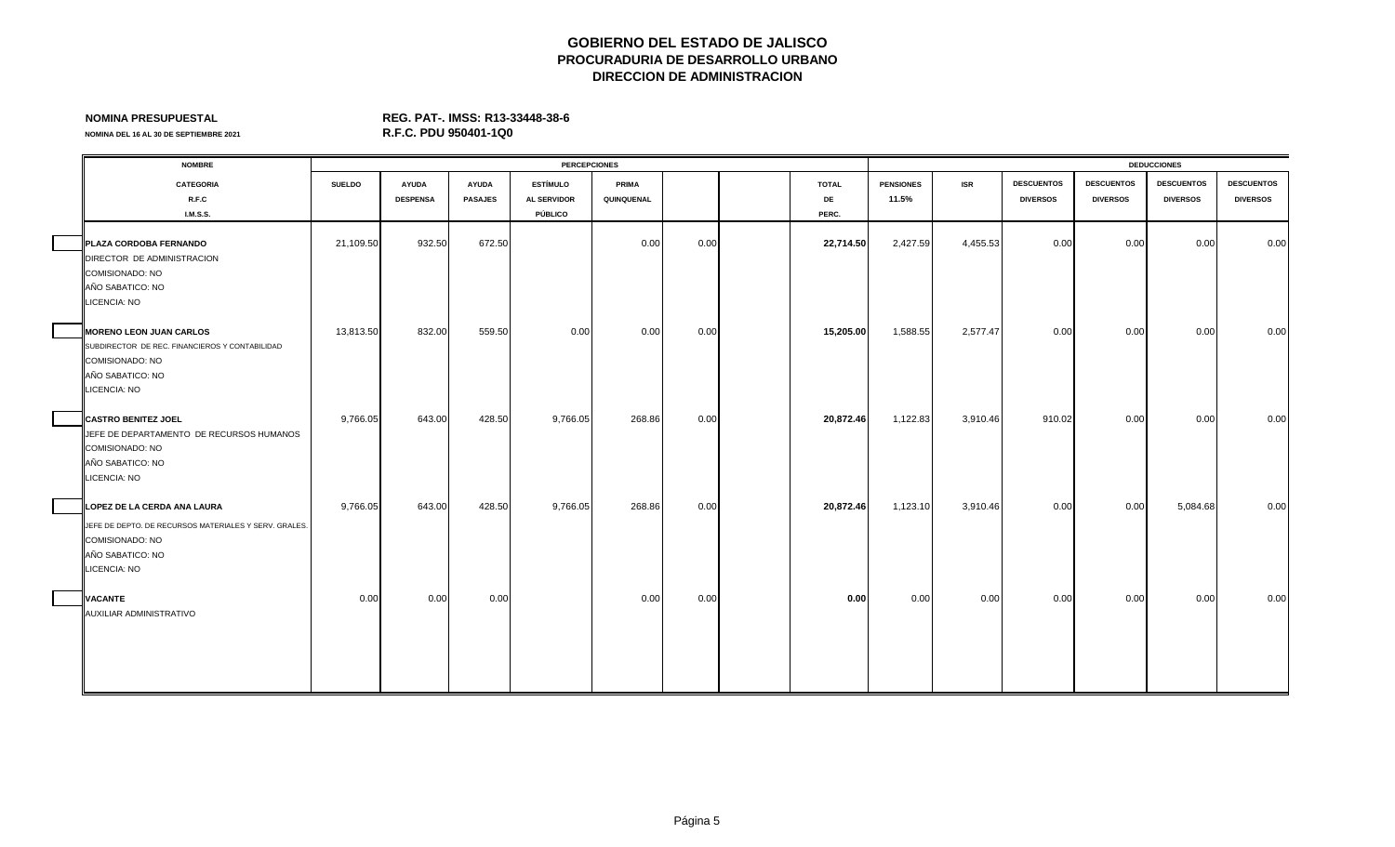## **NOMINA PRESUPUESTAL REG. PAT-. IMSS: R13-33448-38-6**

| <b>NOMBRE</b>                                                                                                                                         |               |                                 |                                | <b>PERCEPCIONES</b>                              |                     |      |                             |                           |            |                                      |                                      | <b>DEDUCCIONES</b>                   |                                      |
|-------------------------------------------------------------------------------------------------------------------------------------------------------|---------------|---------------------------------|--------------------------------|--------------------------------------------------|---------------------|------|-----------------------------|---------------------------|------------|--------------------------------------|--------------------------------------|--------------------------------------|--------------------------------------|
| <b>CATEGORIA</b><br>R.F.C<br><b>I.M.S.S.</b>                                                                                                          | <b>SUELDO</b> | <b>AYUDA</b><br><b>DESPENSA</b> | <b>AYUDA</b><br><b>PASAJES</b> | <b>ESTÍMULO</b><br><b>AL SERVIDOR</b><br>PÚBLICO | PRIMA<br>QUINQUENAL |      | <b>TOTAL</b><br>DE<br>PERC. | <b>PENSIONES</b><br>11.5% | <b>ISR</b> | <b>DESCUENTOS</b><br><b>DIVERSOS</b> | <b>DESCUENTOS</b><br><b>DIVERSOS</b> | <b>DESCUENTOS</b><br><b>DIVERSOS</b> | <b>DESCUENTOS</b><br><b>DIVERSOS</b> |
| PLAZA CORDOBA FERNANDO<br>DIRECTOR DE ADMINISTRACION<br><b>COMISIONADO: NO</b><br>AÑO SABATICO: NO                                                    | 21,109.50     | 932.50                          | 672.50                         |                                                  | 0.00                | 0.00 | 22,714.50                   | 2,427.59                  | 4,455.53   | 0.00                                 | 0.00                                 | 0.00                                 | 0.00                                 |
| <b>LICENCIA: NO</b><br><b>MORENO LEON JUAN CARLOS</b><br>SUBDIRECTOR DE REC. FINANCIEROS Y CONTABILIDAD<br><b>COMISIONADO: NO</b><br>AÑO SABATICO: NO | 13,813.50     | 832.00                          | 559.50                         | 0.00                                             | 0.00                | 0.00 | 15,205.00                   | 1,588.55                  | 2,577.47   | 0.00                                 | 0.00                                 | 0.00                                 | 0.00                                 |
| <b>LICENCIA: NO</b><br><b>CASTRO BENITEZ JOEL</b><br>JEFE DE DEPARTAMENTO DE RECURSOS HUMANOS<br><b>COMISIONADO: NO</b><br>AÑO SABATICO: NO           | 9,766.05      | 643.00                          | 428.50                         | 9,766.05                                         | 268.86              | 0.00 | 20,872.46                   | 1,122.83                  | 3,910.46   | 910.02                               | 0.00                                 | 0.00                                 | 0.00                                 |
| LICENCIA: NO<br>LOPEZ DE LA CERDA ANA LAURA<br>JEFE DE DEPTO. DE RECURSOS MATERIALES Y SERV. GRALES.<br>COMISIONADO: NO                               | 9,766.05      | 643.00                          | 428.50                         | 9,766.05                                         | 268.86              | 0.00 | 20,872.46                   | 1,123.10                  | 3,910.46   | 0.00                                 | 0.00                                 | 5,084.68                             | 0.00                                 |
| AÑO SABATICO: NO<br><b>LICENCIA: NO</b><br><b>VACANTE</b><br>AUXILIAR ADMINISTRATIVO                                                                  | 0.00          | 0.00                            | 0.00                           |                                                  | 0.00                | 0.00 | 0.00                        | 0.00                      | 0.00       | 0.00                                 | 0.00                                 | 0.00                                 | 0.00                                 |
|                                                                                                                                                       |               |                                 |                                |                                                  |                     |      |                             |                           |            |                                      |                                      |                                      |                                      |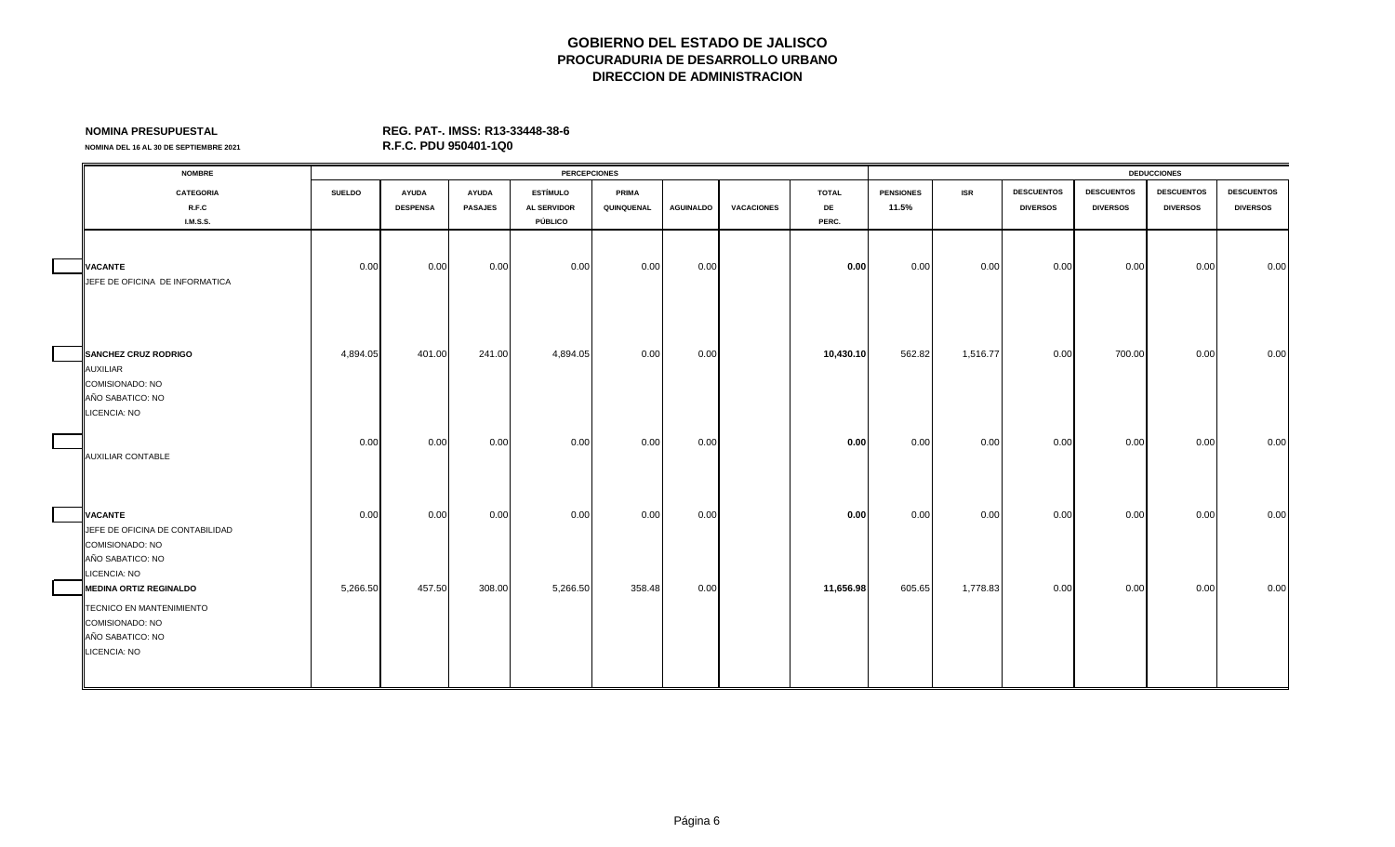**NOMINA DEL 16 AL 30 DE SEPTIEMBRE 2021** 

| <b>NOMBRE</b>                                                                                                                           |               |                                 |                                | <b>PERCEPCIONES</b>                              |                            |                  |                   |                             |                           |            |                                      |                                      | <b>DEDUCCIONES</b>                   |                                      |
|-----------------------------------------------------------------------------------------------------------------------------------------|---------------|---------------------------------|--------------------------------|--------------------------------------------------|----------------------------|------------------|-------------------|-----------------------------|---------------------------|------------|--------------------------------------|--------------------------------------|--------------------------------------|--------------------------------------|
| <b>CATEGORIA</b><br>R.F.C<br><b>I.M.S.S.</b>                                                                                            | <b>SUELDO</b> | <b>AYUDA</b><br><b>DESPENSA</b> | <b>AYUDA</b><br><b>PASAJES</b> | <b>ESTÍMULO</b><br><b>AL SERVIDOR</b><br>PÚBLICO | <b>PRIMA</b><br>QUINQUENAL | <b>AGUINALDO</b> | <b>VACACIONES</b> | <b>TOTAL</b><br>DE<br>PERC. | <b>PENSIONES</b><br>11.5% | <b>ISR</b> | <b>DESCUENTOS</b><br><b>DIVERSOS</b> | <b>DESCUENTOS</b><br><b>DIVERSOS</b> | <b>DESCUENTOS</b><br><b>DIVERSOS</b> | <b>DESCUENTOS</b><br><b>DIVERSOS</b> |
| <b>VACANTE</b><br>JEFE DE OFICINA DE INFORMATICA                                                                                        | 0.00          | 0.00                            | 0.00                           | 0.00                                             | 0.00                       | 0.00             |                   | 0.00                        | 0.00                      | 0.00       | 0.00                                 | 0.00                                 | 0.00                                 | 0.00                                 |
| <b>SANCHEZ CRUZ RODRIGO</b><br><b>AUXILIAR</b><br>COMISIONADO: NO<br>AÑO SABATICO: NO<br>LICENCIA: NO                                   | 4,894.05      | 401.00                          | 241.00                         | 4,894.05                                         | 0.00                       | 0.00             |                   | 10,430.10                   | 562.82                    | 1,516.77   | 0.00                                 | 700.00                               | 0.00                                 | 0.00                                 |
| <b>AUXILIAR CONTABLE</b>                                                                                                                | 0.00          | 0.00                            | 0.00                           | 0.00                                             | 0.00                       | 0.00             |                   | 0.00                        | 0.00                      | 0.00       | 0.00                                 | 0.00                                 | 0.00                                 | 0.00                                 |
| <b>VACANTE</b><br>JEFE DE OFICINA DE CONTABILIDAD<br><b>COMISIONADO: NO</b><br>AÑO SABATICO: NO                                         | 0.00          | 0.00                            | 0.00                           | 0.00                                             | 0.00                       | 0.00             |                   | 0.00                        | 0.00                      | 0.00       | 0.00                                 | 0.00                                 | 0.00                                 | 0.00                                 |
| <b>LICENCIA: NO</b><br><b>MEDINA ORTIZ REGINALDO</b><br>TECNICO EN MANTENIMIENTO<br>COMISIONADO: NO<br>AÑO SABATICO: NO<br>LICENCIA: NO | 5,266.50      | 457.50                          | 308.00                         | 5,266.50                                         | 358.48                     | 0.00             |                   | 11,656.98                   | 605.65                    | 1,778.83   | 0.00                                 | 0.00                                 | 0.00                                 | 0.00                                 |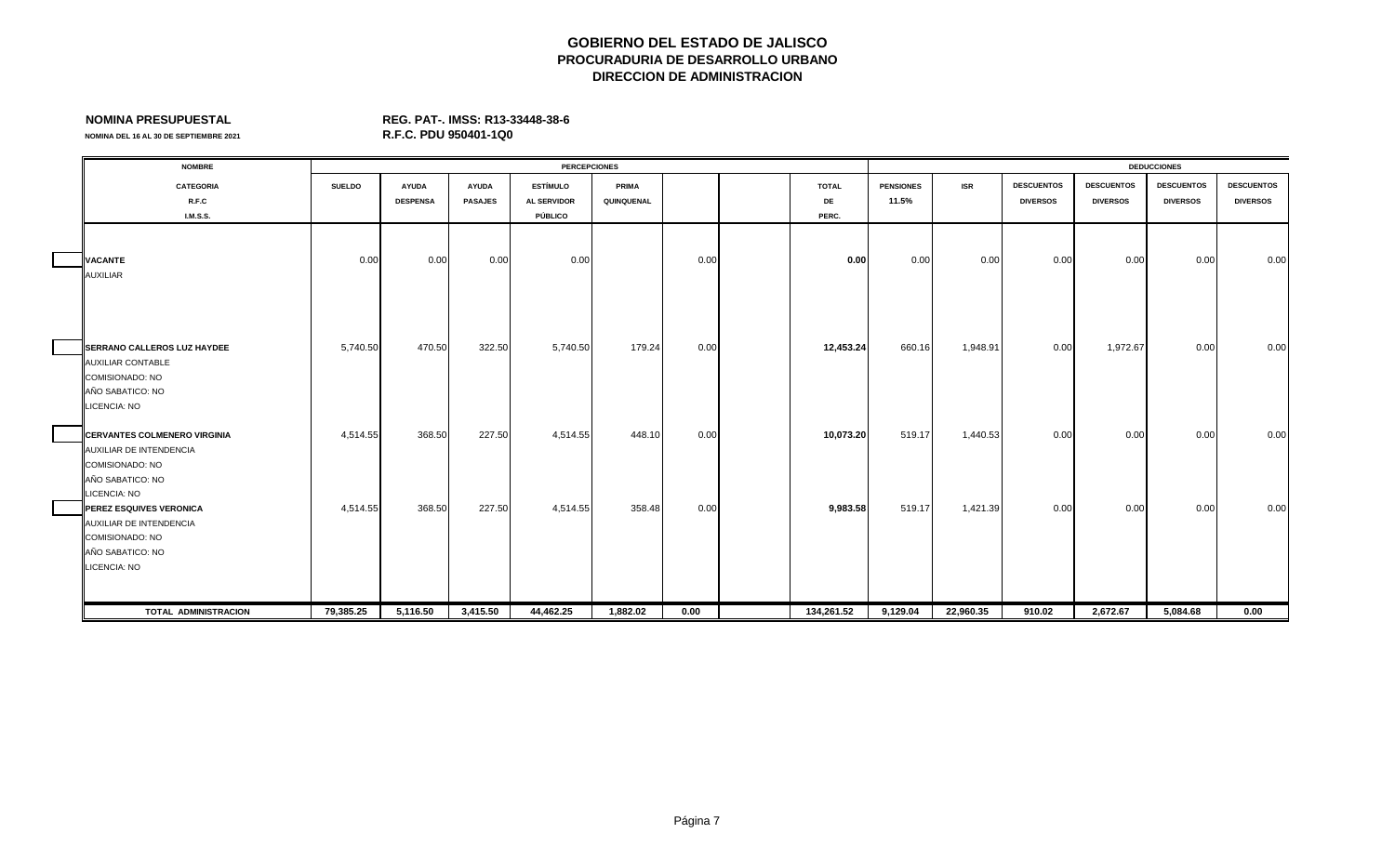**NOMINA PRESUPUESTAL REG. PAT-. IMSS: R13-33448-38-6**

| <b>NOMBRE</b>                                                                                                                    |               |                                 |                                | <b>PERCEPCIONES</b>                              |                     |      |                             |                           |            |                                      |                                      | <b>DEDUCCIONES</b>                   |                                      |
|----------------------------------------------------------------------------------------------------------------------------------|---------------|---------------------------------|--------------------------------|--------------------------------------------------|---------------------|------|-----------------------------|---------------------------|------------|--------------------------------------|--------------------------------------|--------------------------------------|--------------------------------------|
| <b>CATEGORIA</b><br>R.F.C<br><b>I.M.S.S.</b>                                                                                     | <b>SUELDO</b> | <b>AYUDA</b><br><b>DESPENSA</b> | <b>AYUDA</b><br><b>PASAJES</b> | <b>ESTÍMULO</b><br><b>AL SERVIDOR</b><br>PÚBLICO | PRIMA<br>QUINQUENAL |      | <b>TOTAL</b><br>DE<br>PERC. | <b>PENSIONES</b><br>11.5% | <b>ISR</b> | <b>DESCUENTOS</b><br><b>DIVERSOS</b> | <b>DESCUENTOS</b><br><b>DIVERSOS</b> | <b>DESCUENTOS</b><br><b>DIVERSOS</b> | <b>DESCUENTOS</b><br><b>DIVERSOS</b> |
| <b>VACANTE</b><br><b>AUXILIAR</b>                                                                                                | 0.00          | 0.00                            | 0.00                           | 0.00                                             |                     | 0.00 | 0.00                        | 0.00                      | 0.00       | 0.00                                 | 0.00                                 | 0.00                                 | 0.00                                 |
| <b>SERRANO CALLEROS LUZ HAYDEE</b><br><b>AUXILIAR CONTABLE</b><br>COMISIONADO: NO<br>AÑO SABATICO: NO<br>LICENCIA: NO            | 5,740.50      | 470.50                          | 322.50                         | 5,740.50                                         | 179.24              | 0.00 | 12,453.24                   | 660.16                    | 1,948.91   | 0.00                                 | 1,972.67                             | 0.00                                 | 0.00                                 |
| <b>CERVANTES COLMENERO VIRGINIA</b><br>AUXILIAR DE INTENDENCIA<br>COMISIONADO: NO<br>AÑO SABATICO: NO                            | 4,514.55      | 368.50                          | 227.50                         | 4,514.55                                         | 448.10              | 0.00 | 10,073.20                   | 519.17                    | 1,440.53   | 0.00                                 | 0.00                                 | 0.00                                 | 0.00                                 |
| LICENCIA: NO<br><b>PEREZ ESQUIVES VERONICA</b><br>AUXILIAR DE INTENDENCIA<br>COMISIONADO: NO<br>AÑO SABATICO: NO<br>LICENCIA: NO | 4,514.55      | 368.50                          | 227.50                         | 4,514.55                                         | 358.48              | 0.00 | 9,983.58                    | 519.17                    | 1,421.39   | 0.00                                 | 0.00                                 | 0.00                                 | 0.00                                 |
| TOTAL ADMINISTRACION                                                                                                             | 79,385.25     | 5,116.50                        | 3,415.50                       | 44,462.25                                        | 1,882.02            | 0.00 | 134,261.52                  | 9,129.04                  | 22,960.35  | 910.02                               | 2,672.67                             | 5,084.68                             | 0.00                                 |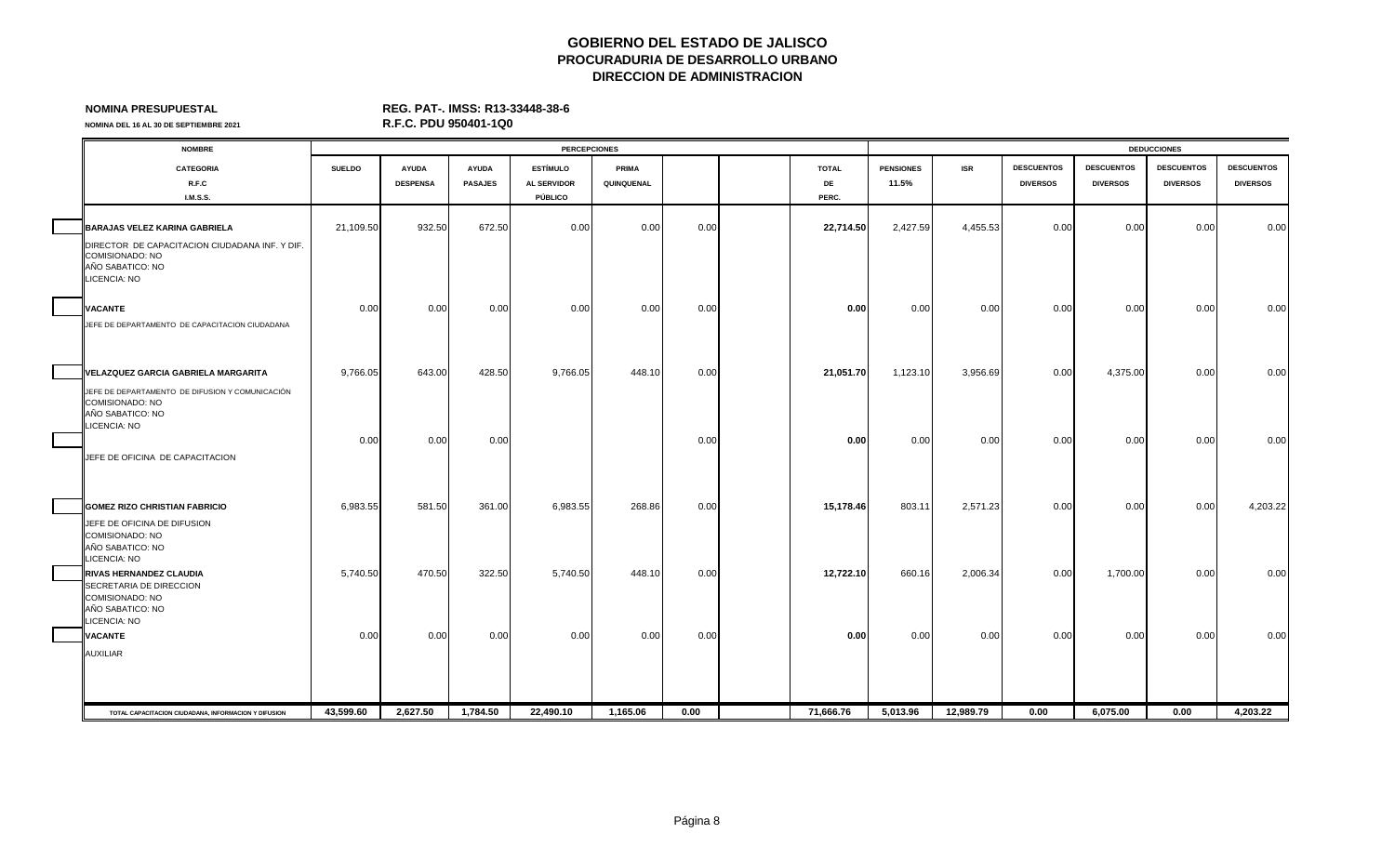## **NOMINA PRESUPUESTAL REG. PAT-. IMSS: R13-33448-38-6**

| <b>NOMBRE</b>                                                                                          |               |                 |                | <b>PERCEPCIONES</b> |            |      |              |                  |            |                   |                   | <b>DEDUCCIONES</b> |                   |
|--------------------------------------------------------------------------------------------------------|---------------|-----------------|----------------|---------------------|------------|------|--------------|------------------|------------|-------------------|-------------------|--------------------|-------------------|
| <b>CATEGORIA</b>                                                                                       | <b>SUELDO</b> | <b>AYUDA</b>    | <b>AYUDA</b>   | <b>ESTÍMULO</b>     | PRIMA      |      | <b>TOTAL</b> | <b>PENSIONES</b> | <b>ISR</b> | <b>DESCUENTOS</b> | <b>DESCUENTOS</b> | <b>DESCUENTOS</b>  | <b>DESCUENTOS</b> |
| R.F.C                                                                                                  |               | <b>DESPENSA</b> | <b>PASAJES</b> | <b>AL SERVIDOR</b>  | QUINQUENAL |      | DE           | 11.5%            |            | <b>DIVERSOS</b>   | <b>DIVERSOS</b>   | <b>DIVERSOS</b>    | <b>DIVERSOS</b>   |
| <b>I.M.S.S.</b>                                                                                        |               |                 |                | PÚBLICO             |            |      | PERC.        |                  |            |                   |                   |                    |                   |
| BARAJAS VELEZ KARINA GABRIELA                                                                          | 21,109.50     | 932.50          | 672.50         | 0.00                | 0.00       | 0.00 | 22,714.50    | 2,427.59         | 4,455.53   | 0.00              | 0.00              | 0.00               | 0.00              |
| DIRECTOR DE CAPACITACION CIUDADANA INF. Y DIF.<br>COMISIONADO: NO<br>AÑO SABATICO: NO<br>LICENCIA: NO  |               |                 |                |                     |            |      |              |                  |            |                   |                   |                    |                   |
| <b>VACANTE</b>                                                                                         | 0.00          | 0.00            | 0.00           | 0.00                | 0.00       | 0.00 | 0.00         | 0.00             | 0.00       | 0.00              | 0.00              | 0.00               | 0.00              |
| JEFE DE DEPARTAMENTO DE CAPACITACION CIUDADANA                                                         |               |                 |                |                     |            |      |              |                  |            |                   |                   |                    |                   |
| VELAZQUEZ GARCIA GABRIELA MARGARITA                                                                    | 9,766.05      | 643.00          | 428.50         | 9,766.05            | 448.10     | 0.00 | 21,051.70    | 1,123.10         | 3,956.69   | 0.00              | 4,375.00          | 0.00               | 0.00              |
| JEFE DE DEPARTAMENTO DE DIFUSION Y COMUNICACIÓN<br>COMISIONADO: NO<br>AÑO SABATICO: NO<br>LICENCIA: NO |               |                 |                |                     |            |      |              |                  |            |                   |                   |                    |                   |
|                                                                                                        | 0.00          | 0.00            | 0.00           |                     |            | 0.00 | 0.00         | 0.00             | 0.00       | 0.00              | 0.00              | 0.00               | 0.00              |
| JEFE DE OFICINA DE CAPACITACION                                                                        |               |                 |                |                     |            |      |              |                  |            |                   |                   |                    |                   |
| <b>GOMEZ RIZO CHRISTIAN FABRICIO</b>                                                                   | 6,983.55      | 581.50          | 361.00         | 6,983.55            | 268.86     | 0.00 | 15,178.46    | 803.11           | 2,571.23   | 0.00              | 0.00              | 0.00               | 4,203.22          |
| JEFE DE OFICINA DE DIFUSION<br>COMISIONADO: NO<br>AÑO SABATICO: NO<br>LICENCIA: NO                     |               |                 |                |                     |            |      |              |                  |            |                   |                   |                    |                   |
| <b>RIVAS HERNANDEZ CLAUDIA</b>                                                                         | 5,740.50      | 470.50          | 322.50         | 5,740.50            | 448.10     | 0.00 | 12,722.10    | 660.16           | 2,006.34   | 0.00              | 1,700.00          | 0.00               | 0.00              |
| SECRETARIA DE DIRECCION<br>COMISIONADO: NO<br>AÑO SABATICO: NO<br>LICENCIA: NO                         |               |                 |                |                     |            |      |              |                  |            |                   |                   |                    |                   |
| <b>VACANTE</b>                                                                                         | 0.00          | 0.00            | 0.00           | 0.00                | 0.00       | 0.00 | 0.00         | 0.00             | 0.00       | 0.00              | 0.00              | 0.00               | 0.00              |
| <b>AUXILIAR</b>                                                                                        |               |                 |                |                     |            |      |              |                  |            |                   |                   |                    |                   |
| TOTAL CAPACITACION CIUDADANA, INFORMACION Y DIFUSION                                                   | 43.599.60     | 2.627.50        | 1,784.50       | 22.490.10           | 1,165.06   | 0.00 | 71.666.76    | 5.013.96         | 12.989.79  | 0.00              | 6,075.00          | 0.00               | 4,203.22          |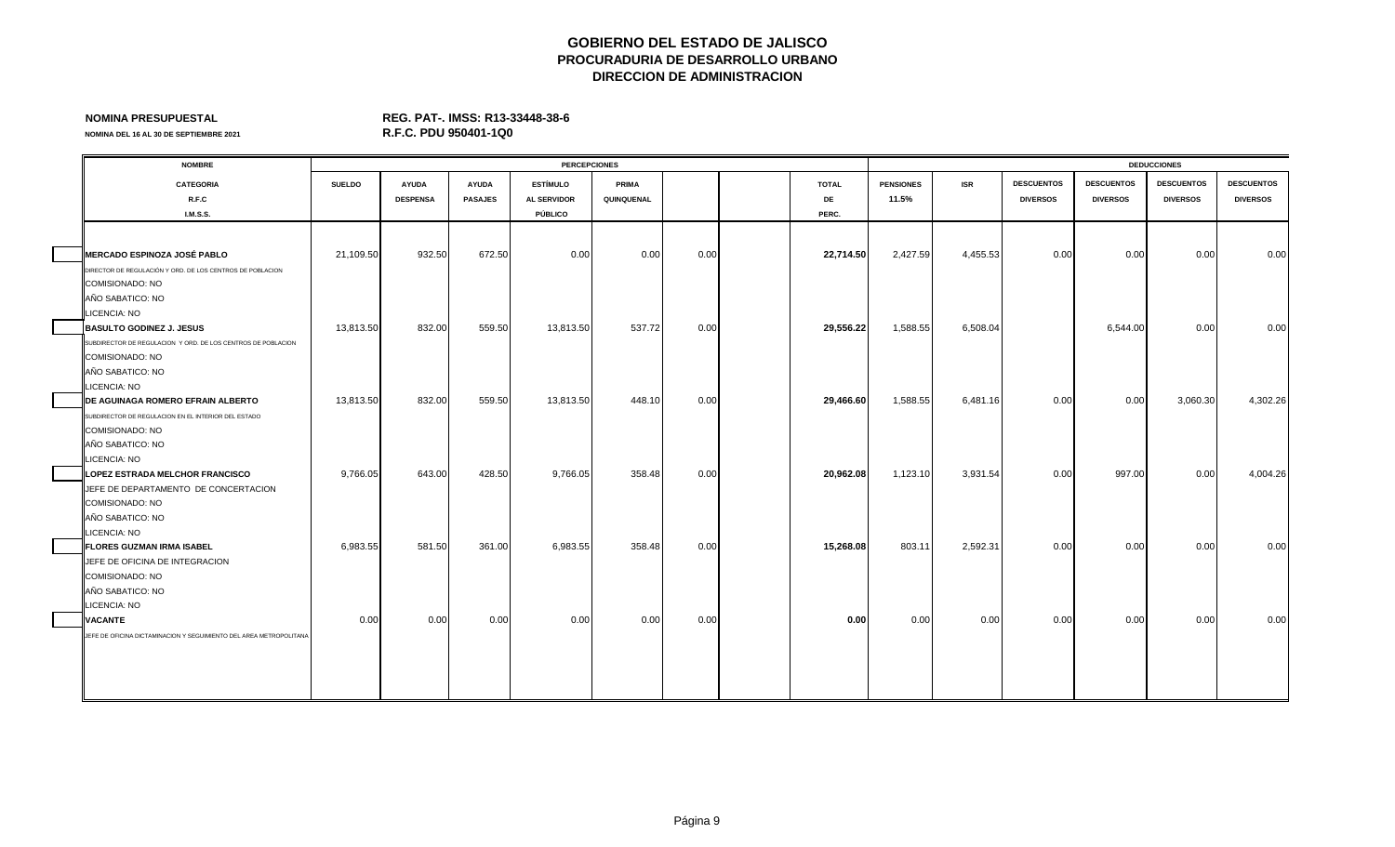## **NOMINA PRESUPUESTAL REG. PAT-. IMSS: R13-33448-38-6**

| <b>NOMBRE</b>    |                                                                                                                                                                                                                                                                                                                                                                                                                                                                                                                                                                                                                                                                                                                                                                                                                                   |                  |                                       |                          |                          |                                     |                                                              |              |                   |                                         |                   |                                                                                          |                      |                                            |
|------------------|-----------------------------------------------------------------------------------------------------------------------------------------------------------------------------------------------------------------------------------------------------------------------------------------------------------------------------------------------------------------------------------------------------------------------------------------------------------------------------------------------------------------------------------------------------------------------------------------------------------------------------------------------------------------------------------------------------------------------------------------------------------------------------------------------------------------------------------|------------------|---------------------------------------|--------------------------|--------------------------|-------------------------------------|--------------------------------------------------------------|--------------|-------------------|-----------------------------------------|-------------------|------------------------------------------------------------------------------------------|----------------------|--------------------------------------------|
| <b>CATEGORIA</b> | <b>SUELDO</b>                                                                                                                                                                                                                                                                                                                                                                                                                                                                                                                                                                                                                                                                                                                                                                                                                     | <b>AYUDA</b>     | <b>AYUDA</b>                          | <b>ESTÍMULO</b>          | PRIMA                    |                                     |                                                              | <b>TOTAL</b> | <b>PENSIONES</b>  | <b>ISR</b>                              | <b>DESCUENTOS</b> | <b>DESCUENTOS</b>                                                                        | <b>DESCUENTOS</b>    | <b>DESCUENTOS</b>                          |
| R.F.C            |                                                                                                                                                                                                                                                                                                                                                                                                                                                                                                                                                                                                                                                                                                                                                                                                                                   | <b>DESPENSA</b>  | <b>PASAJES</b>                        | <b>AL SERVIDOR</b>       | QUINQUENAL               |                                     |                                                              | DE           | 11.5%             |                                         | <b>DIVERSOS</b>   | <b>DIVERSOS</b>                                                                          | <b>DIVERSOS</b>      | <b>DIVERSOS</b>                            |
| I.M.S.S.         |                                                                                                                                                                                                                                                                                                                                                                                                                                                                                                                                                                                                                                                                                                                                                                                                                                   |                  |                                       | PÚBLICO                  |                          |                                     |                                                              | PERC.        |                   |                                         |                   |                                                                                          |                      |                                            |
|                  |                                                                                                                                                                                                                                                                                                                                                                                                                                                                                                                                                                                                                                                                                                                                                                                                                                   |                  |                                       |                          |                          |                                     |                                                              |              |                   |                                         |                   |                                                                                          |                      |                                            |
|                  |                                                                                                                                                                                                                                                                                                                                                                                                                                                                                                                                                                                                                                                                                                                                                                                                                                   |                  |                                       |                          |                          |                                     |                                                              |              |                   |                                         |                   |                                                                                          |                      | 0.00                                       |
|                  |                                                                                                                                                                                                                                                                                                                                                                                                                                                                                                                                                                                                                                                                                                                                                                                                                                   |                  |                                       |                          |                          |                                     |                                                              |              |                   |                                         |                   |                                                                                          |                      |                                            |
|                  |                                                                                                                                                                                                                                                                                                                                                                                                                                                                                                                                                                                                                                                                                                                                                                                                                                   |                  |                                       |                          |                          |                                     |                                                              |              |                   |                                         |                   |                                                                                          |                      |                                            |
|                  |                                                                                                                                                                                                                                                                                                                                                                                                                                                                                                                                                                                                                                                                                                                                                                                                                                   |                  |                                       |                          |                          |                                     |                                                              |              |                   |                                         |                   |                                                                                          |                      |                                            |
|                  |                                                                                                                                                                                                                                                                                                                                                                                                                                                                                                                                                                                                                                                                                                                                                                                                                                   |                  |                                       |                          |                          |                                     |                                                              |              |                   |                                         |                   |                                                                                          |                      |                                            |
|                  | 13,813.50                                                                                                                                                                                                                                                                                                                                                                                                                                                                                                                                                                                                                                                                                                                                                                                                                         | 832.00           | 559.50                                | 13,813.50                |                          | 0.00                                |                                                              | 29,556.22    | 1,588.55          |                                         |                   | 6.544.00                                                                                 | 0.00                 | 0.00                                       |
|                  |                                                                                                                                                                                                                                                                                                                                                                                                                                                                                                                                                                                                                                                                                                                                                                                                                                   |                  |                                       |                          |                          |                                     |                                                              |              |                   |                                         |                   |                                                                                          |                      |                                            |
|                  |                                                                                                                                                                                                                                                                                                                                                                                                                                                                                                                                                                                                                                                                                                                                                                                                                                   |                  |                                       |                          |                          |                                     |                                                              |              |                   |                                         |                   |                                                                                          |                      |                                            |
|                  |                                                                                                                                                                                                                                                                                                                                                                                                                                                                                                                                                                                                                                                                                                                                                                                                                                   |                  |                                       |                          |                          |                                     |                                                              |              |                   |                                         |                   |                                                                                          |                      |                                            |
|                  |                                                                                                                                                                                                                                                                                                                                                                                                                                                                                                                                                                                                                                                                                                                                                                                                                                   |                  |                                       |                          |                          |                                     |                                                              |              |                   |                                         |                   |                                                                                          |                      |                                            |
|                  | 13,813.50                                                                                                                                                                                                                                                                                                                                                                                                                                                                                                                                                                                                                                                                                                                                                                                                                         | 832.00           | 559.50                                | 13,813.50                |                          | 0.00                                |                                                              | 29,466.60    | 1,588.55          |                                         | 0.00              | 0.00                                                                                     | 3,060.30             | 4,302.26                                   |
|                  |                                                                                                                                                                                                                                                                                                                                                                                                                                                                                                                                                                                                                                                                                                                                                                                                                                   |                  |                                       |                          |                          |                                     |                                                              |              |                   |                                         |                   |                                                                                          |                      |                                            |
|                  |                                                                                                                                                                                                                                                                                                                                                                                                                                                                                                                                                                                                                                                                                                                                                                                                                                   |                  |                                       |                          |                          |                                     |                                                              |              |                   |                                         |                   |                                                                                          |                      |                                            |
|                  |                                                                                                                                                                                                                                                                                                                                                                                                                                                                                                                                                                                                                                                                                                                                                                                                                                   |                  |                                       |                          |                          |                                     |                                                              |              |                   |                                         |                   |                                                                                          |                      |                                            |
|                  |                                                                                                                                                                                                                                                                                                                                                                                                                                                                                                                                                                                                                                                                                                                                                                                                                                   |                  |                                       |                          |                          |                                     |                                                              |              |                   |                                         |                   |                                                                                          |                      |                                            |
|                  | 9,766.05                                                                                                                                                                                                                                                                                                                                                                                                                                                                                                                                                                                                                                                                                                                                                                                                                          | 643.00           | 428.50                                | 9,766.05                 |                          | 0.00                                |                                                              | 20,962.08    | 1,123.10          |                                         | 0.00              | 997.00                                                                                   | 0.00                 | 4,004.26                                   |
|                  |                                                                                                                                                                                                                                                                                                                                                                                                                                                                                                                                                                                                                                                                                                                                                                                                                                   |                  |                                       |                          |                          |                                     |                                                              |              |                   |                                         |                   |                                                                                          |                      |                                            |
|                  |                                                                                                                                                                                                                                                                                                                                                                                                                                                                                                                                                                                                                                                                                                                                                                                                                                   |                  |                                       |                          |                          |                                     |                                                              |              |                   |                                         |                   |                                                                                          |                      |                                            |
|                  |                                                                                                                                                                                                                                                                                                                                                                                                                                                                                                                                                                                                                                                                                                                                                                                                                                   |                  |                                       |                          |                          |                                     |                                                              |              |                   |                                         |                   |                                                                                          |                      |                                            |
|                  |                                                                                                                                                                                                                                                                                                                                                                                                                                                                                                                                                                                                                                                                                                                                                                                                                                   |                  |                                       |                          |                          |                                     |                                                              |              |                   |                                         |                   |                                                                                          |                      |                                            |
|                  |                                                                                                                                                                                                                                                                                                                                                                                                                                                                                                                                                                                                                                                                                                                                                                                                                                   |                  |                                       |                          |                          |                                     |                                                              |              |                   |                                         |                   |                                                                                          |                      | 0.00                                       |
|                  |                                                                                                                                                                                                                                                                                                                                                                                                                                                                                                                                                                                                                                                                                                                                                                                                                                   |                  |                                       |                          |                          |                                     |                                                              |              |                   |                                         |                   |                                                                                          |                      |                                            |
|                  |                                                                                                                                                                                                                                                                                                                                                                                                                                                                                                                                                                                                                                                                                                                                                                                                                                   |                  |                                       |                          |                          |                                     |                                                              |              |                   |                                         |                   |                                                                                          |                      |                                            |
|                  |                                                                                                                                                                                                                                                                                                                                                                                                                                                                                                                                                                                                                                                                                                                                                                                                                                   |                  |                                       |                          |                          |                                     |                                                              |              |                   |                                         |                   |                                                                                          |                      |                                            |
|                  |                                                                                                                                                                                                                                                                                                                                                                                                                                                                                                                                                                                                                                                                                                                                                                                                                                   |                  |                                       |                          |                          |                                     |                                                              |              |                   |                                         |                   |                                                                                          |                      |                                            |
|                  |                                                                                                                                                                                                                                                                                                                                                                                                                                                                                                                                                                                                                                                                                                                                                                                                                                   |                  |                                       |                          |                          |                                     |                                                              |              |                   |                                         |                   |                                                                                          |                      | 0.00                                       |
|                  |                                                                                                                                                                                                                                                                                                                                                                                                                                                                                                                                                                                                                                                                                                                                                                                                                                   |                  |                                       |                          |                          |                                     |                                                              |              |                   |                                         |                   |                                                                                          |                      |                                            |
|                  |                                                                                                                                                                                                                                                                                                                                                                                                                                                                                                                                                                                                                                                                                                                                                                                                                                   |                  |                                       |                          |                          |                                     |                                                              |              |                   |                                         |                   |                                                                                          |                      |                                            |
|                  |                                                                                                                                                                                                                                                                                                                                                                                                                                                                                                                                                                                                                                                                                                                                                                                                                                   |                  |                                       |                          |                          |                                     |                                                              |              |                   |                                         |                   |                                                                                          |                      |                                            |
|                  |                                                                                                                                                                                                                                                                                                                                                                                                                                                                                                                                                                                                                                                                                                                                                                                                                                   |                  |                                       |                          |                          |                                     |                                                              |              |                   |                                         |                   |                                                                                          |                      |                                            |
|                  | <b>MERCADO ESPINOZA JOSÉ PABLO</b><br>DIRECTOR DE REGULACIÓN Y ORD. DE LOS CENTROS DE POBLACION<br>COMISIONADO: NO<br>AÑO SABATICO: NO<br>LICENCIA: NO<br><b>BASULTO GODINEZ J. JESUS</b><br>SUBDIRECTOR DE REGULACION Y ORD. DE LOS CENTROS DE POBLACION<br>COMISIONADO: NO<br>AÑO SABATICO: NO<br>LICENCIA: NO<br>DE AGUINAGA ROMERO EFRAIN ALBERTO<br>SUBDIRECTOR DE REGULACION EN EL INTERIOR DEL ESTADO<br>COMISIONADO: NO<br>AÑO SABATICO: NO<br>LICENCIA: NO<br><b>LOPEZ ESTRADA MELCHOR FRANCISCO</b><br>JEFE DE DEPARTAMENTO DE CONCERTACION<br>COMISIONADO: NO<br>AÑO SABATICO: NO<br>LICENCIA: NO<br><b>FLORES GUZMAN IRMA ISABEL</b><br>JEFE DE OFICINA DE INTEGRACION<br>COMISIONADO: NO<br>AÑO SABATICO: NO<br>LICENCIA: NO<br><b>VACANTE</b><br>JEFE DE OFICINA DICTAMINACION Y SEGUIMIENTO DEL AREA METROPOLITANA | 6,983.55<br>0.00 | 21,109.50<br>932.50<br>581.50<br>0.00 | 672.50<br>361.00<br>0.00 | 0.00<br>6,983.55<br>0.00 | <b>PERCEPCIONES</b><br>0.00<br>0.00 | 0.00<br>537.72<br>448.10<br>358.48<br>358.48<br>0.00<br>0.00 |              | 15,268.08<br>0.00 | 22,714.50<br>2,427.59<br>803.11<br>0.00 |                   | 4,455.53<br>0.00<br>6,508.04<br>6,481.16<br>3,931.54<br>2,592.31<br>0.00<br>0.00<br>0.00 | 0.00<br>0.00<br>0.00 | <b>DEDUCCIONES</b><br>0.00<br>0.00<br>0.00 |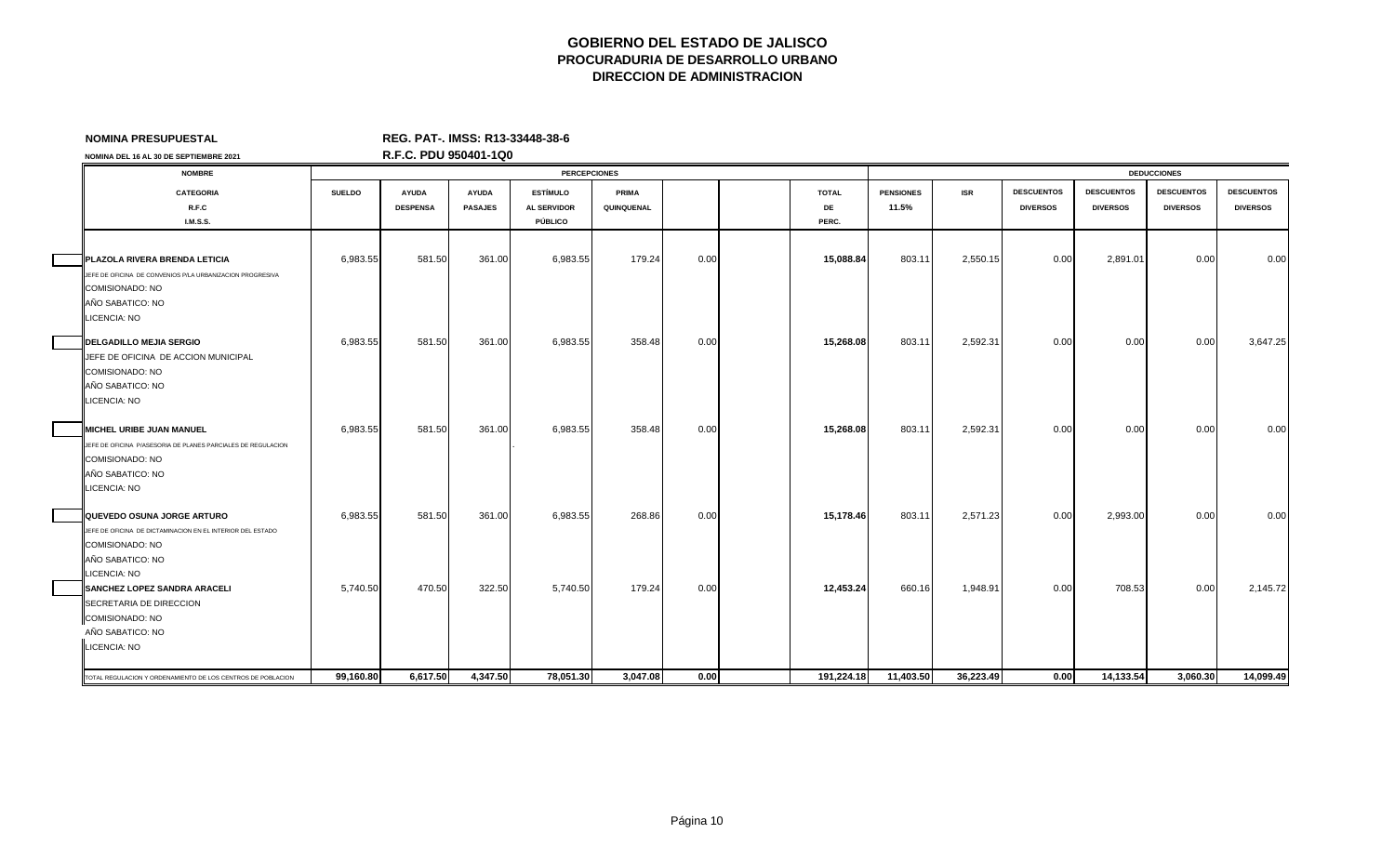| <b>NOMINA PRESUPUESTAL</b>                                                    |               | REG. PAT-. IMSS: R13-33448-38-6 |                |                     |            |      |              |                  |            |                   |                   |                    |                   |
|-------------------------------------------------------------------------------|---------------|---------------------------------|----------------|---------------------|------------|------|--------------|------------------|------------|-------------------|-------------------|--------------------|-------------------|
| NOMINA DEL 16 AL 30 DE SEPTIEMBRE 2021                                        |               | R.F.C. PDU 950401-1Q0           |                |                     |            |      |              |                  |            |                   |                   |                    |                   |
| <b>NOMBRE</b>                                                                 |               |                                 |                | <b>PERCEPCIONES</b> |            |      |              |                  |            |                   |                   | <b>DEDUCCIONES</b> |                   |
| <b>CATEGORIA</b>                                                              | <b>SUELDO</b> | <b>AYUDA</b>                    | <b>AYUDA</b>   | <b>ESTÍMULO</b>     | PRIMA      |      | <b>TOTAL</b> | <b>PENSIONES</b> | <b>ISR</b> | <b>DESCUENTOS</b> | <b>DESCUENTOS</b> | <b>DESCUENTOS</b>  | <b>DESCUENTOS</b> |
| R.F.C                                                                         |               | <b>DESPENSA</b>                 | <b>PASAJES</b> | <b>AL SERVIDOR</b>  | QUINQUENAL |      | DE           | 11.5%            |            | <b>DIVERSOS</b>   | <b>DIVERSOS</b>   | <b>DIVERSOS</b>    | <b>DIVERSOS</b>   |
| <b>I.M.S.S.</b>                                                               |               |                                 |                | PÚBLICO             |            |      | PERC.        |                  |            |                   |                   |                    |                   |
|                                                                               |               |                                 |                |                     |            |      |              |                  |            |                   |                   |                    |                   |
| <b>PLAZOLA RIVERA BRENDA LETICIA</b>                                          | 6,983.55      | 581.50                          | 361.00         | 6,983.55            | 179.24     | 0.00 | 15,088.84    | 803.11           | 2,550.15   | 0.00              | 2,891.01          | 0.00               | 0.00              |
| JEFE DE OFICINA DE CONVENIOS P/LA URBANIZACION PROGRESIVA                     |               |                                 |                |                     |            |      |              |                  |            |                   |                   |                    |                   |
| COMISIONADO: NO                                                               |               |                                 |                |                     |            |      |              |                  |            |                   |                   |                    |                   |
| AÑO SABATICO: NO                                                              |               |                                 |                |                     |            |      |              |                  |            |                   |                   |                    |                   |
| LICENCIA: NO                                                                  |               |                                 |                |                     |            |      |              |                  |            |                   |                   |                    |                   |
| <b>DELGADILLO MEJIA SERGIO</b>                                                | 6,983.55      | 581.50                          | 361.00         | 6,983.55            | 358.48     | 0.00 | 15,268.08    | 803.11           | 2,592.31   | 0.00              | 0.00              | 0.00               | 3,647.25          |
| JEFE DE OFICINA DE ACCION MUNICIPAL                                           |               |                                 |                |                     |            |      |              |                  |            |                   |                   |                    |                   |
| COMISIONADO: NO                                                               |               |                                 |                |                     |            |      |              |                  |            |                   |                   |                    |                   |
| AÑO SABATICO: NO                                                              |               |                                 |                |                     |            |      |              |                  |            |                   |                   |                    |                   |
| LICENCIA: NO                                                                  |               |                                 |                |                     |            |      |              |                  |            |                   |                   |                    |                   |
| <b>IMICHEL URIBE JUAN MANUEL</b>                                              | 6,983.55      | 581.50                          | 361.00         | 6,983.55            | 358.48     | 0.00 | 15,268.08    | 803.11           | 2,592.31   | 0.00              | 0.00              | 0.00               | 0.00              |
| JEFE DE OFICINA P/ASESORIA DE PLANES PARCIALES DE REGULACION                  |               |                                 |                |                     |            |      |              |                  |            |                   |                   |                    |                   |
| COMISIONADO: NO                                                               |               |                                 |                |                     |            |      |              |                  |            |                   |                   |                    |                   |
| AÑO SABATICO: NO                                                              |               |                                 |                |                     |            |      |              |                  |            |                   |                   |                    |                   |
| LICENCIA: NO                                                                  |               |                                 |                |                     |            |      |              |                  |            |                   |                   |                    |                   |
|                                                                               |               |                                 |                |                     |            |      |              |                  |            |                   |                   |                    |                   |
| QUEVEDO OSUNA JORGE ARTURO                                                    | 6,983.55      | 581.50                          | 361.00         | 6,983.55            | 268.86     | 0.00 | 15,178.46    | 803.11           | 2,571.23   | 0.00              | 2,993.00          | 0.00               | 0.00              |
| JEFE DE OFICINA DE DICTAMINACION EN EL INTERIOR DEL ESTADO<br>COMISIONADO: NO |               |                                 |                |                     |            |      |              |                  |            |                   |                   |                    |                   |
| AÑO SABATICO: NO                                                              |               |                                 |                |                     |            |      |              |                  |            |                   |                   |                    |                   |
| LICENCIA: NO                                                                  |               |                                 |                |                     |            |      |              |                  |            |                   |                   |                    |                   |
| SANCHEZ LOPEZ SANDRA ARACELI                                                  | 5,740.50      | 470.50                          | 322.50         | 5,740.50            | 179.24     | 0.00 | 12,453.24    | 660.16           | 1,948.91   | 0.00              | 708.53            | 0.00               | 2,145.72          |
| SECRETARIA DE DIRECCION                                                       |               |                                 |                |                     |            |      |              |                  |            |                   |                   |                    |                   |
| COMISIONADO: NO                                                               |               |                                 |                |                     |            |      |              |                  |            |                   |                   |                    |                   |
| AÑO SABATICO: NO                                                              |               |                                 |                |                     |            |      |              |                  |            |                   |                   |                    |                   |
| LICENCIA: NO                                                                  |               |                                 |                |                     |            |      |              |                  |            |                   |                   |                    |                   |
|                                                                               |               |                                 |                |                     |            |      |              |                  |            |                   |                   |                    |                   |

000 14,133.54 2000 14,133.54 3,060.30 14,099.49 14,099.49 14,099.49 15,617.50 4,347.50 78,051.30 3,047.08 0.00 1 15,224.18 11,403.50 36,223.49 0.00 14,133.54 3,060.30 14,099.49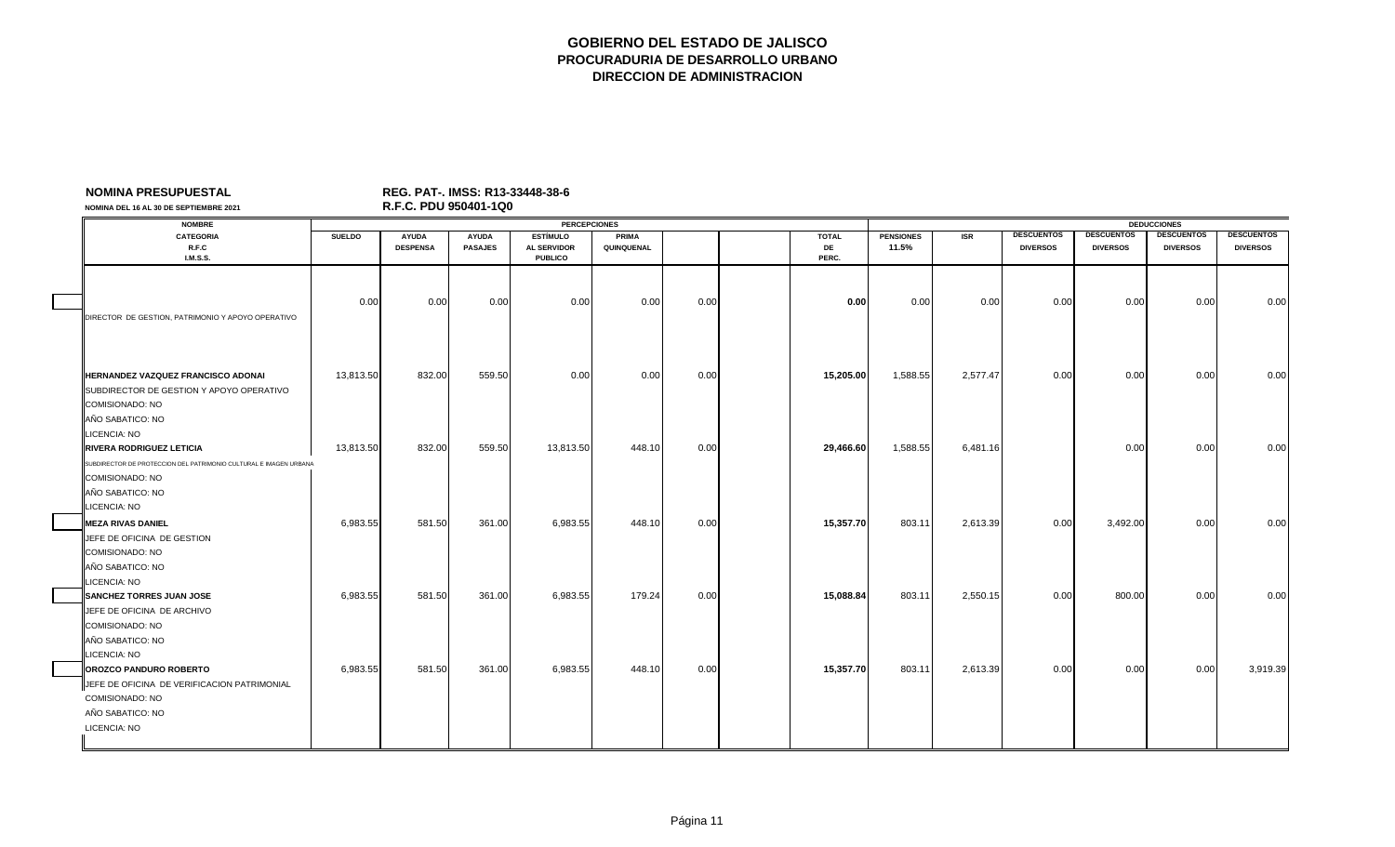| NOMINA DEL 16 AL 30 DE SEPTIEMBRE 2021                                                                                                                             |               | R.F.C. PDU 950401-1Q0 |                |                                      |            |      |              |                  |            |                   |                   |                    |                   |
|--------------------------------------------------------------------------------------------------------------------------------------------------------------------|---------------|-----------------------|----------------|--------------------------------------|------------|------|--------------|------------------|------------|-------------------|-------------------|--------------------|-------------------|
| <b>NOMBRE</b>                                                                                                                                                      |               |                       |                | <b>PERCEPCIONES</b>                  |            |      |              |                  |            |                   |                   | <b>DEDUCCIONES</b> |                   |
| <b>CATEGORIA</b>                                                                                                                                                   | <b>SUELDO</b> | <b>AYUDA</b>          | <b>AYUDA</b>   | <b>ESTÍMULO</b>                      | PRIMA      |      | <b>TOTAL</b> | <b>PENSIONES</b> | <b>ISR</b> | <b>DESCUENTOS</b> | <b>DESCUENTOS</b> | <b>DESCUENTOS</b>  | <b>DESCUENTOS</b> |
| R.F.C<br><b>I.M.S.S.</b>                                                                                                                                           |               | <b>DESPENSA</b>       | <b>PASAJES</b> | <b>AL SERVIDOR</b><br><b>PUBLICO</b> | QUINQUENAL |      | DE<br>PERC.  | 11.5%            |            | <b>DIVERSOS</b>   | <b>DIVERSOS</b>   | <b>DIVERSOS</b>    | <b>DIVERSOS</b>   |
| DIRECTOR DE GESTION, PATRIMONIO Y APOYO OPERATIVO                                                                                                                  | 0.00          | 0.00                  | 0.00           | 0.00                                 | 0.00       | 0.00 | 0.00         | 0.00             | 0.00       | 0.00              | 0.00              | 0.00               | 0.00              |
| HERNANDEZ VAZQUEZ FRANCISCO ADONAI<br>SUBDIRECTOR DE GESTION Y APOYO OPERATIVO<br>COMISIONADO: NO<br>AÑO SABATICO: NO                                              | 13,813.50     | 832.00                | 559.50         | 0.00                                 | 0.00       | 0.00 | 15,205.00    | 1,588.55         | 2,577.47   | 0.00              | 0.00              | 0.00               | 0.00              |
| <b>LICENCIA: NO</b><br><b>RIVERA RODRIGUEZ LETICIA</b><br>SUBDIRECTOR DE PROTECCION DEL PATRIMONIO CULTURAL E IMAGEN URBANA<br>COMISIONADO: NO<br>AÑO SABATICO: NO | 13,813.50     | 832.00                | 559.50         | 13,813.50                            | 448.10     | 0.00 | 29,466.60    | 1,588.55         | 6,481.16   |                   | 0.00              | 0.00               | 0.00              |
| LICENCIA: NO<br><b>MEZA RIVAS DANIEL</b><br>JEFE DE OFICINA DE GESTION<br>COMISIONADO: NO<br>AÑO SABATICO: NO                                                      | 6,983.55      | 581.50                | 361.00         | 6,983.55                             | 448.10     | 0.00 | 15,357.70    | 803.11           | 2,613.39   | 0.00              | 3,492.00          | 0.00               | 0.00              |
| <b>ICENCIA: NO</b><br><b>SANCHEZ TORRES JUAN JOSE</b><br>JEFE DE OFICINA DE ARCHIVO<br>COMISIONADO: NO<br>AÑO SABATICO: NO                                         | 6,983.55      | 581.50                | 361.00         | 6,983.55                             | 179.24     | 0.00 | 15,088.84    | 803.11           | 2,550.15   | 0.00              | 800.00            | 0.00               | 0.00              |
| LICENCIA: NO<br>OROZCO PANDURO ROBERTO<br>JEFE DE OFICINA DE VERIFICACION PATRIMONIAL<br>COMISIONADO: NO<br>AÑO SABATICO: NO<br>LICENCIA: NO                       | 6,983.55      | 581.50                | 361.00         | 6,983.55                             | 448.10     | 0.00 | 15,357.70    | 803.11           | 2,613.39   | 0.00              | 0.00              | 0.00               | 3,919.39          |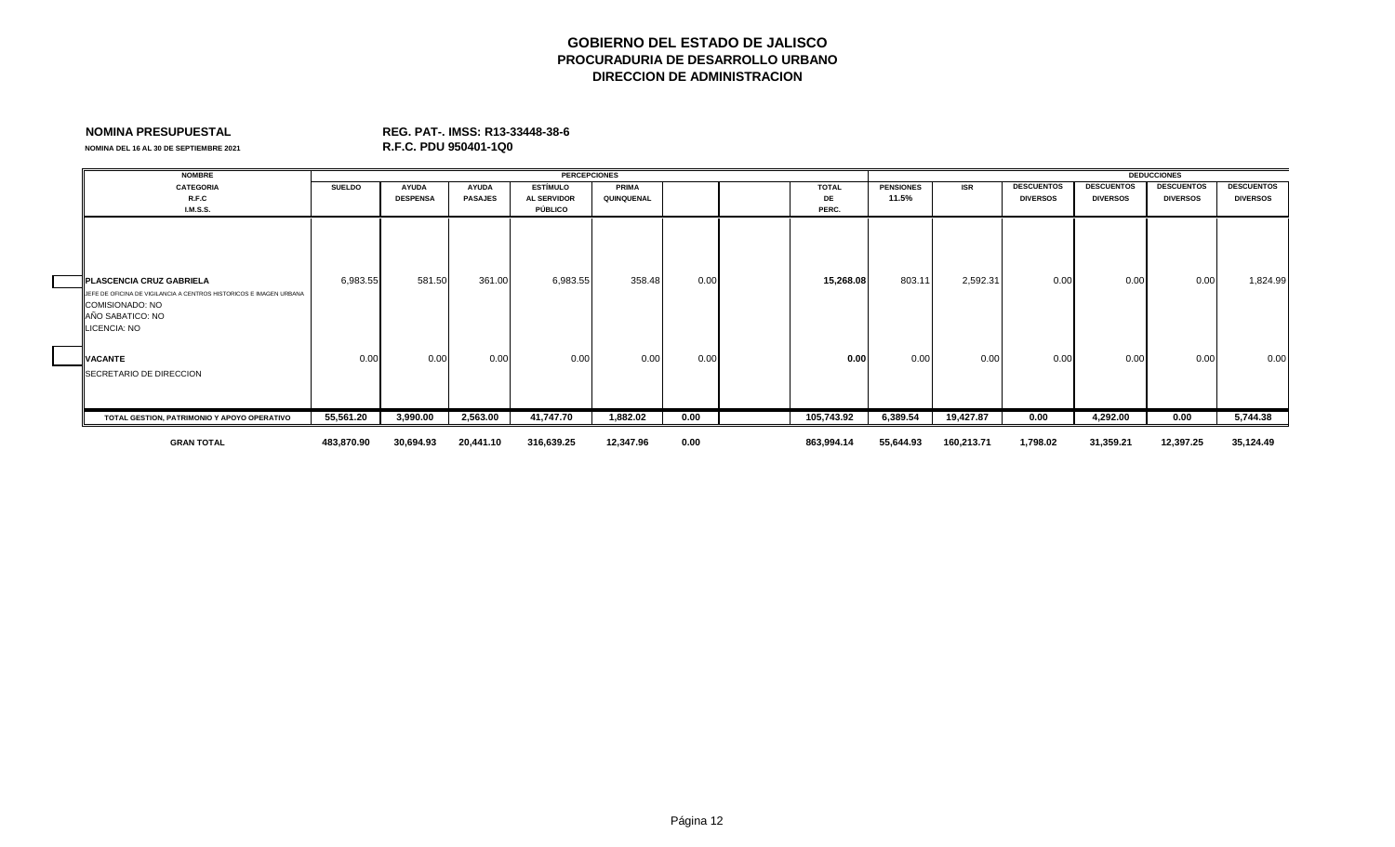**NOMINA DEL 16 AL 30 DE SEPTIEMBRE 2021** 

| <b>NOMBRE</b>                                                                                                             |               |                 |                | <b>PERCEPCIONES</b> |              |      |              |                  |            |                   |                   | <b>DEDUCCIONES</b> |                   |
|---------------------------------------------------------------------------------------------------------------------------|---------------|-----------------|----------------|---------------------|--------------|------|--------------|------------------|------------|-------------------|-------------------|--------------------|-------------------|
| <b>CATEGORIA</b>                                                                                                          | <b>SUELDO</b> | <b>AYUDA</b>    | <b>AYUDA</b>   | <b>ESTÍMULO</b>     | <b>PRIMA</b> |      | <b>TOTAL</b> | <b>PENSIONES</b> | <b>ISR</b> | <b>DESCUENTOS</b> | <b>DESCUENTOS</b> | <b>DESCUENTOS</b>  | <b>DESCUENTOS</b> |
| R.F.C                                                                                                                     |               | <b>DESPENSA</b> | <b>PASAJES</b> | <b>AL SERVIDOR</b>  | QUINQUENAL   |      | <b>DE</b>    | 11.5%            |            | <b>DIVERSOS</b>   | <b>DIVERSOS</b>   | <b>DIVERSOS</b>    | <b>DIVERSOS</b>   |
| <b>I.M.S.S.</b>                                                                                                           |               |                 |                | PÚBLICO             |              |      | PERC.        |                  |            |                   |                   |                    |                   |
|                                                                                                                           |               |                 |                |                     |              |      |              |                  |            |                   |                   |                    |                   |
| <b>IPLASCENCIA CRUZ GABRIELA</b>                                                                                          | 6,983.55      | 581.50          | 361.00         | 6,983.55            | 358.48       | 0.00 | 15,268.08    | 803.11           | 2,592.31   | 0.00              | 0.00              | 0.00               | 1,824.99          |
| JEFE DE OFICINA DE VIGILANCIA A CENTROS HISTORICOS E IMAGEN URBANA<br>COMISIONADO: NO<br>AÑO SABATICO: NO<br>LICENCIA: NO |               |                 |                |                     |              |      |              |                  |            |                   |                   |                    |                   |
| <b>VACANTE</b>                                                                                                            | 0.00          | 0.00            | 0.00           | 0.00                | 0.00         | 0.00 | 0.00         | 0.00             | 0.00       | 0.00              | 0.00              | 0.00               | 0.00              |
| SECRETARIO DE DIRECCION                                                                                                   |               |                 |                |                     |              |      |              |                  |            |                   |                   |                    |                   |
| TOTAL GESTION. PATRIMONIO Y APOYO OPERATIVO                                                                               | 55,561.20     | 3,990.00        | 2,563.00       | 41,747.70           | 1,882.02     | 0.00 | 105,743.92   | 6,389.54         | 19,427.87  | 0.00              | 4,292.00          | 0.00               | 5,744.38          |
| <b>GRAN TOTAL</b>                                                                                                         | 483,870.90    | 30,694.93       | 20,441.10      | 316,639.25          | 12,347.96    | 0.00 | 863,994.14   | 55,644.93        | 160,213.71 | 1,798.02          | 31,359.21         | 12,397.25          | 35,124.49         |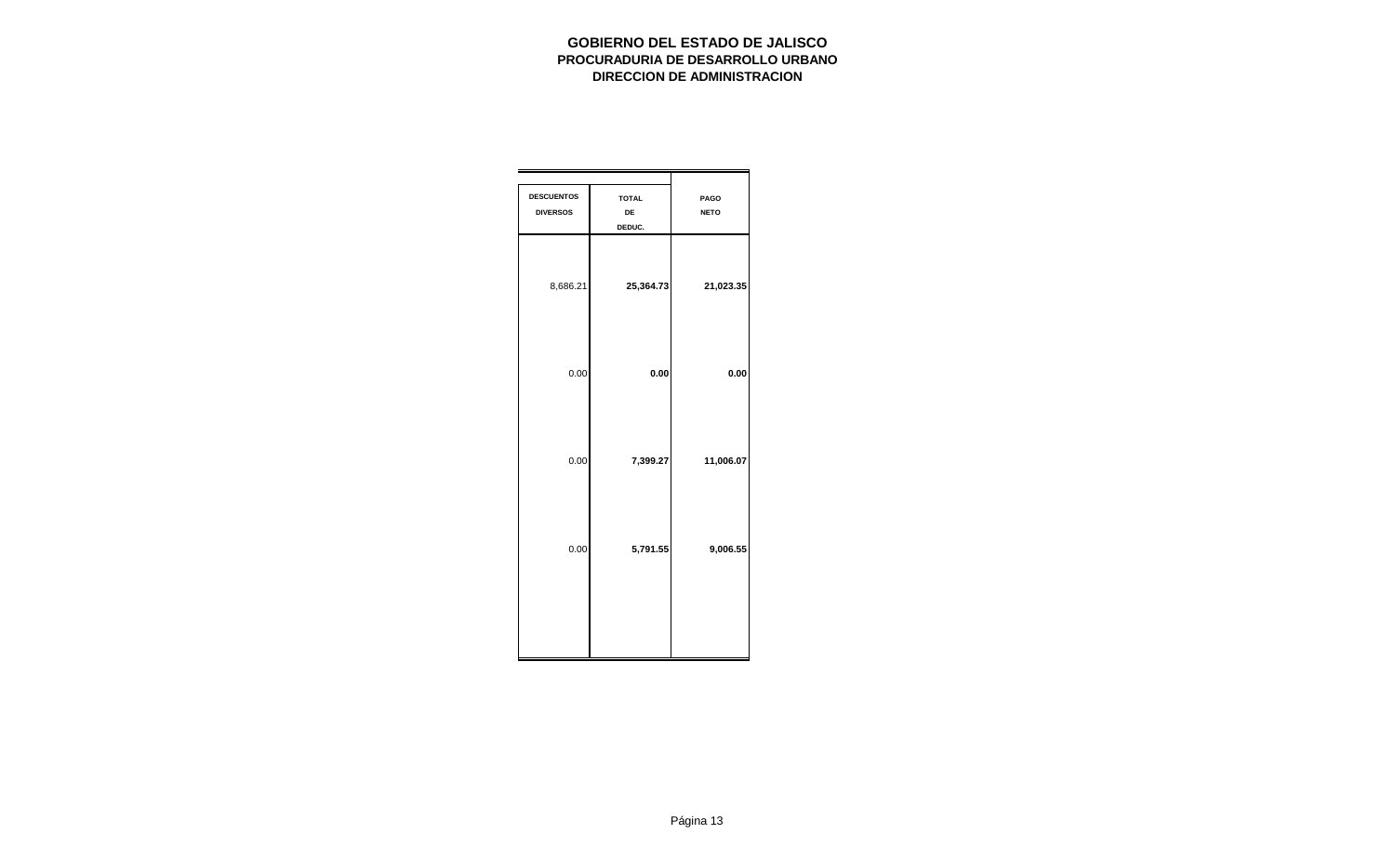| <b>DESCUENTOS</b><br><b>DIVERSOS</b> | <b>TOTAL</b><br>DE<br>DEDUC. | PAGO<br><b>NETO</b> |
|--------------------------------------|------------------------------|---------------------|
| 8,686.21                             | 25,364.73                    | 21,023.35           |
| 0.00                                 | 0.00                         | 0.00                |
| 0.00                                 | 7,399.27                     | 11,006.07           |
| 0.00                                 | 5,791.55                     | 9,006.55            |
|                                      |                              |                     |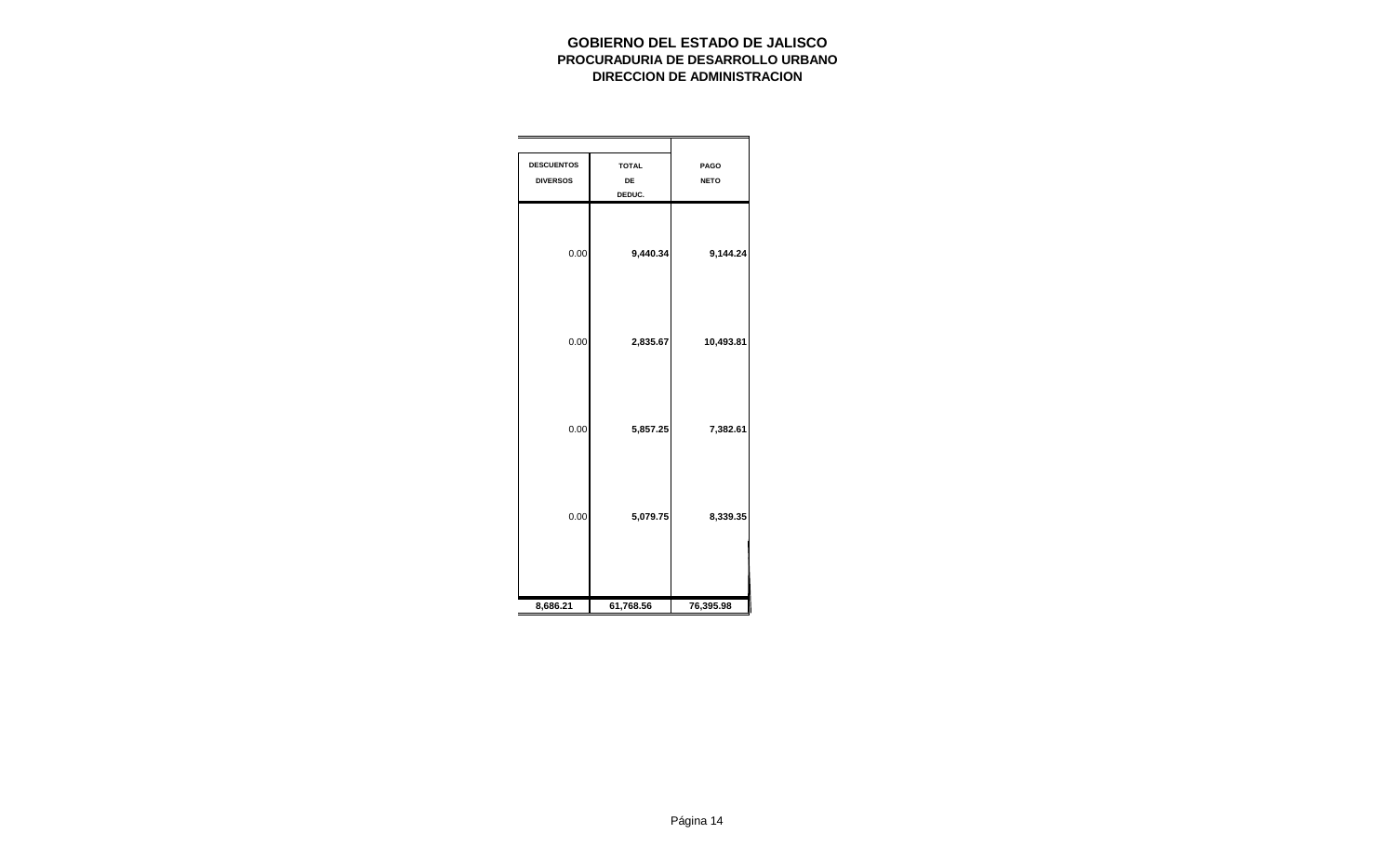| <b>DESCUENTOS</b><br><b>DIVERSOS</b> | <b>TOTAL</b><br>DE<br>DEDUC. | PAGO<br><b>NETO</b> |
|--------------------------------------|------------------------------|---------------------|
| 0.00                                 | 9,440.34                     | 9,144.24            |
| 0.00                                 | 2,835.67                     | 10,493.81           |
| 0.00                                 | 5,857.25                     | 7,382.61            |
| 0.00                                 | 5,079.75                     | 8,339.35            |
| 8,686.21                             | 61,768.56                    | 76,395.98           |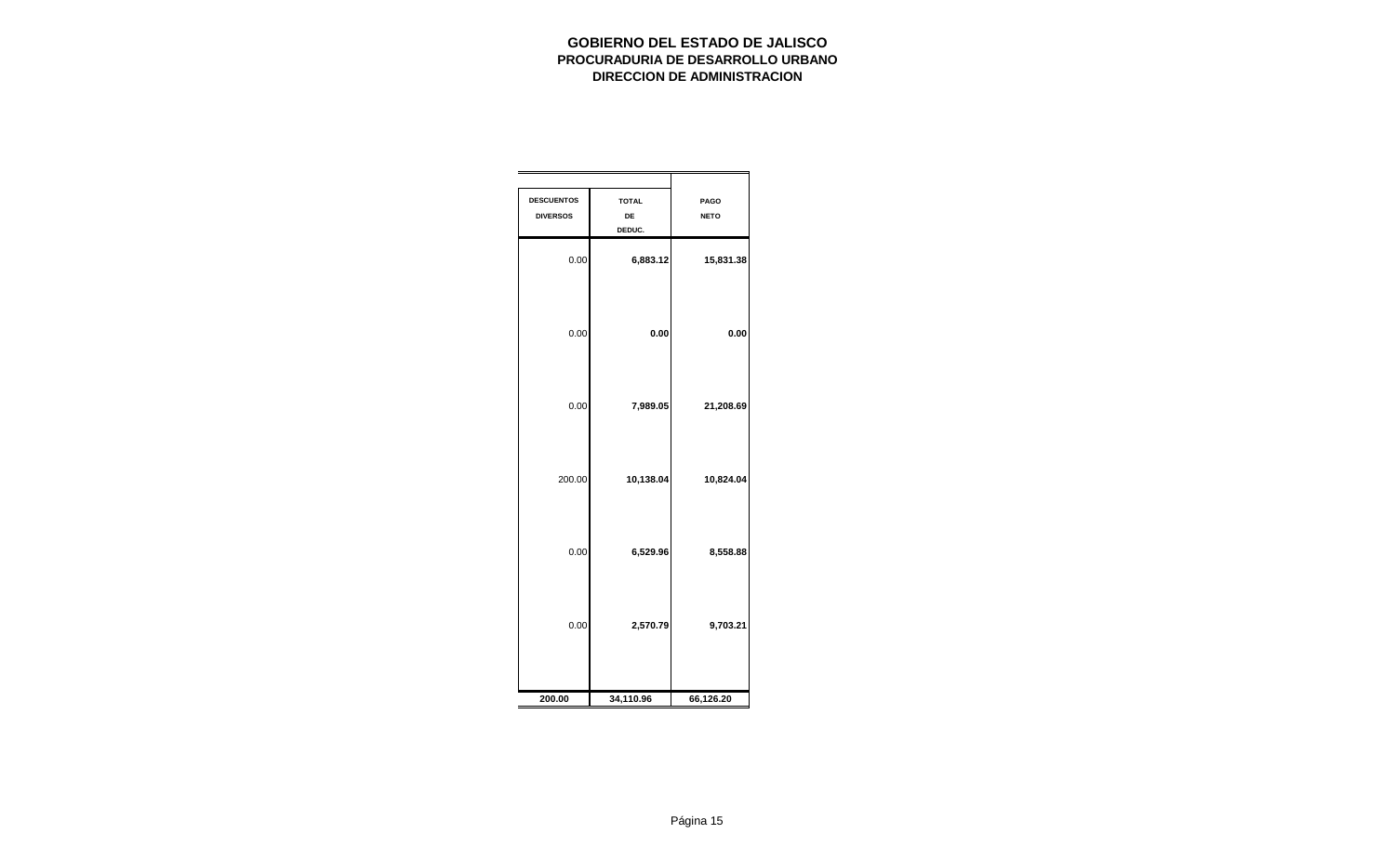| <b>DESCUENTOS</b><br><b>DIVERSOS</b> | <b>TOTAL</b><br>DE<br>DEDUC. | PAGO<br><b>NETO</b> |
|--------------------------------------|------------------------------|---------------------|
| 0.00                                 | 6,883.12                     | 15,831.38           |
| 0.00                                 | 0.00                         | 0.00                |
| 0.00                                 | 7,989.05                     | 21,208.69           |
| 200.00                               | 10,138.04                    | 10,824.04           |
| 0.00                                 | 6,529.96                     | 8,558.88            |
| 0.00                                 | 2,570.79                     | 9,703.21            |
| 200.00                               | 34,110.96                    | 66,126.20           |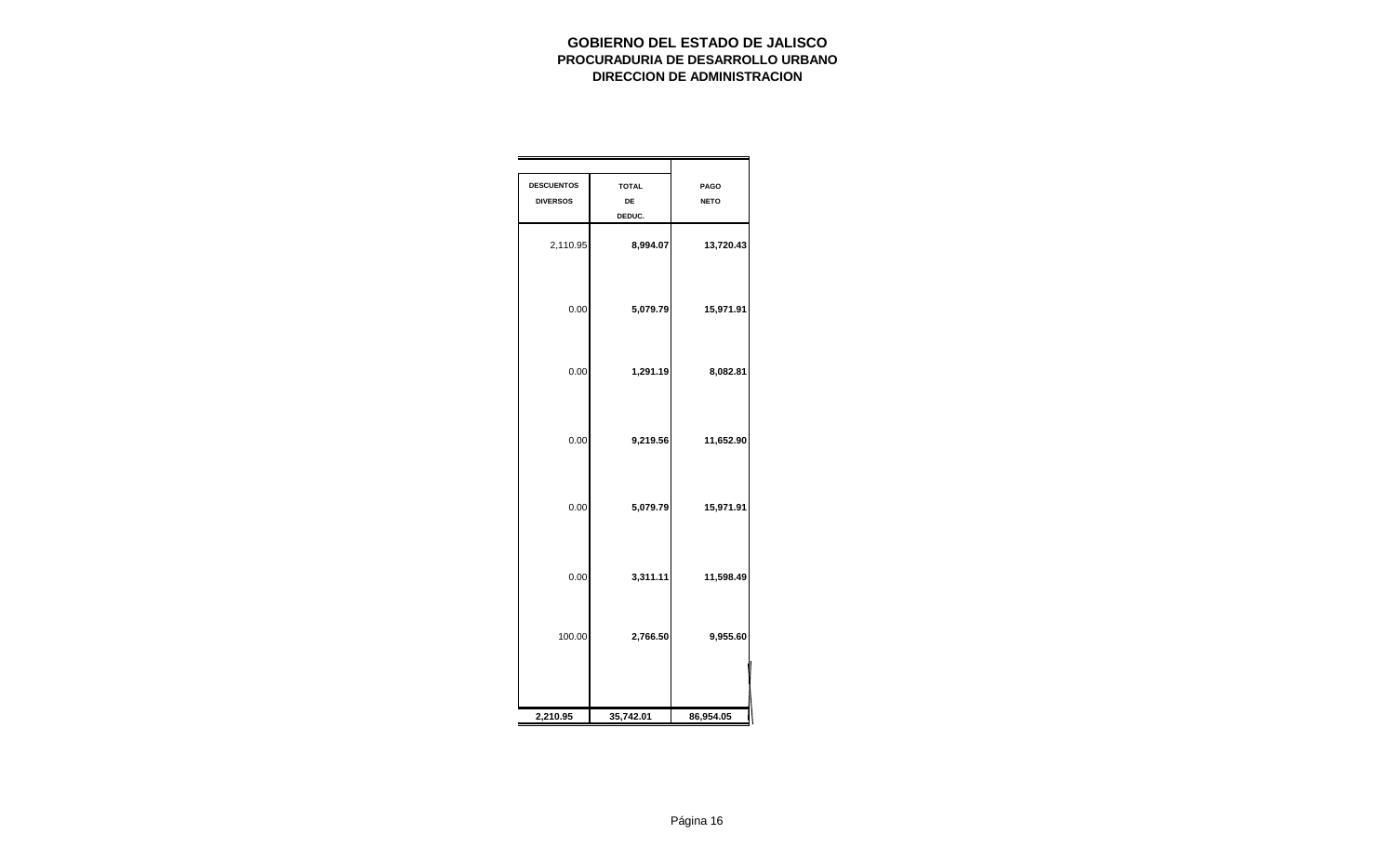| <b>DESCUENTOS</b><br><b>DIVERSOS</b> | <b>TOTAL</b><br>DE<br>DEDUC. | PAGO<br><b>NETO</b> |
|--------------------------------------|------------------------------|---------------------|
| 2,110.95                             | 8,994.07                     | 13,720.43           |
| 0.00                                 | 5,079.79                     | 15,971.91           |
| 0.00                                 | 1,291.19                     | 8,082.81            |
| 0.00                                 | 9,219.56                     | 11,652.90           |
| 0.00                                 | 5,079.79                     | 15,971.91           |
| 0.00                                 | 3,311.11                     | 11,598.49           |
| 100.00                               | 2,766.50                     | 9,955.60            |
|                                      |                              |                     |
| 2,210.95                             | 35,742.01                    | 86,954.05           |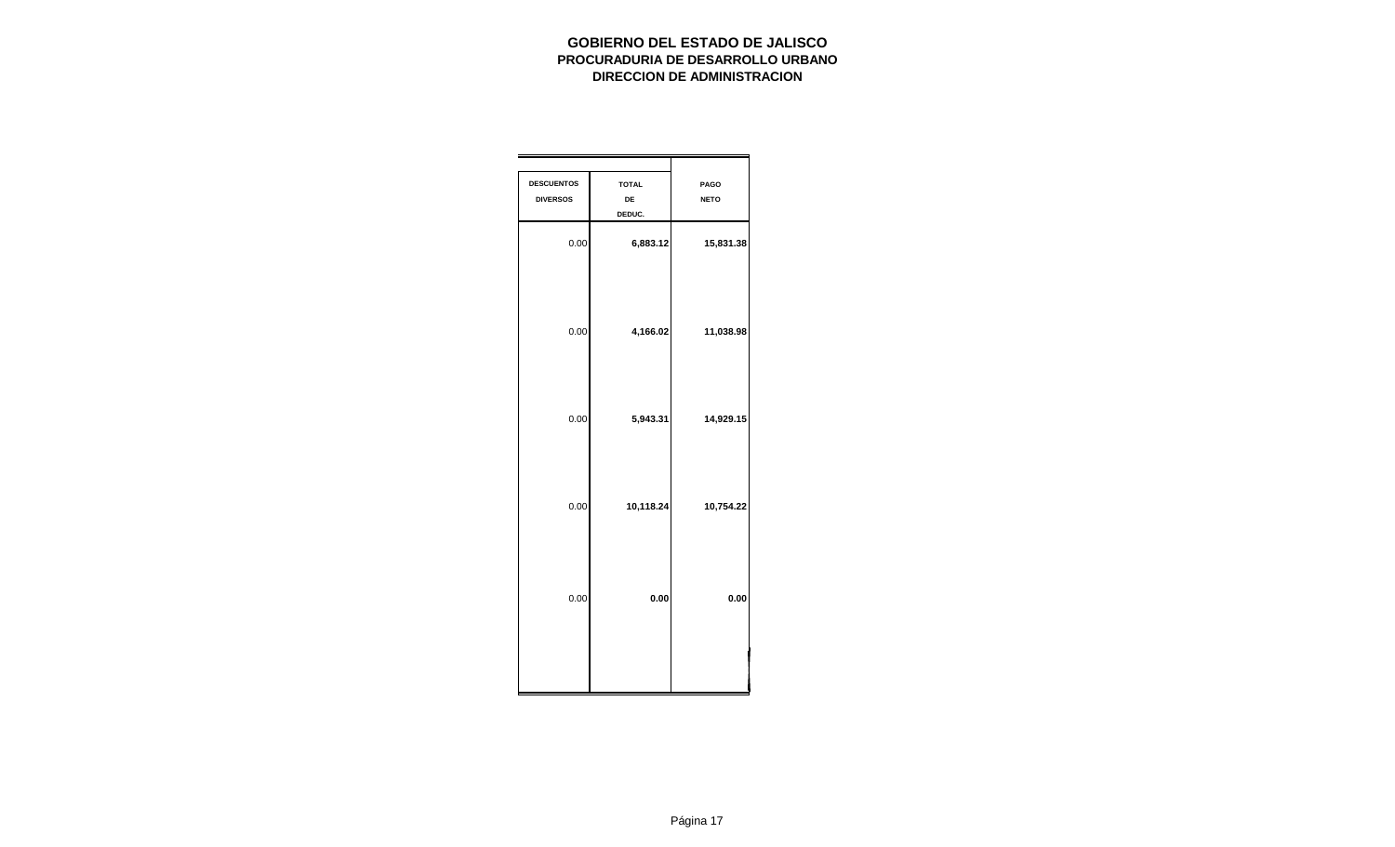| PAGO<br><b>NETO</b> | <b>TOTAL</b><br>DE<br>DEDUC. | <b>DESCUENTOS</b><br><b>DIVERSOS</b> |
|---------------------|------------------------------|--------------------------------------|
| 15,831.38           | 6,883.12                     | 0.00                                 |
| 11,038.98           | 4,166.02                     | 0.00                                 |
| 14,929.15           | 5,943.31                     | 0.00                                 |
| 10,754.22           | 10,118.24                    | 0.00                                 |
| 0.00                | 0.00                         | 0.00                                 |
|                     |                              |                                      |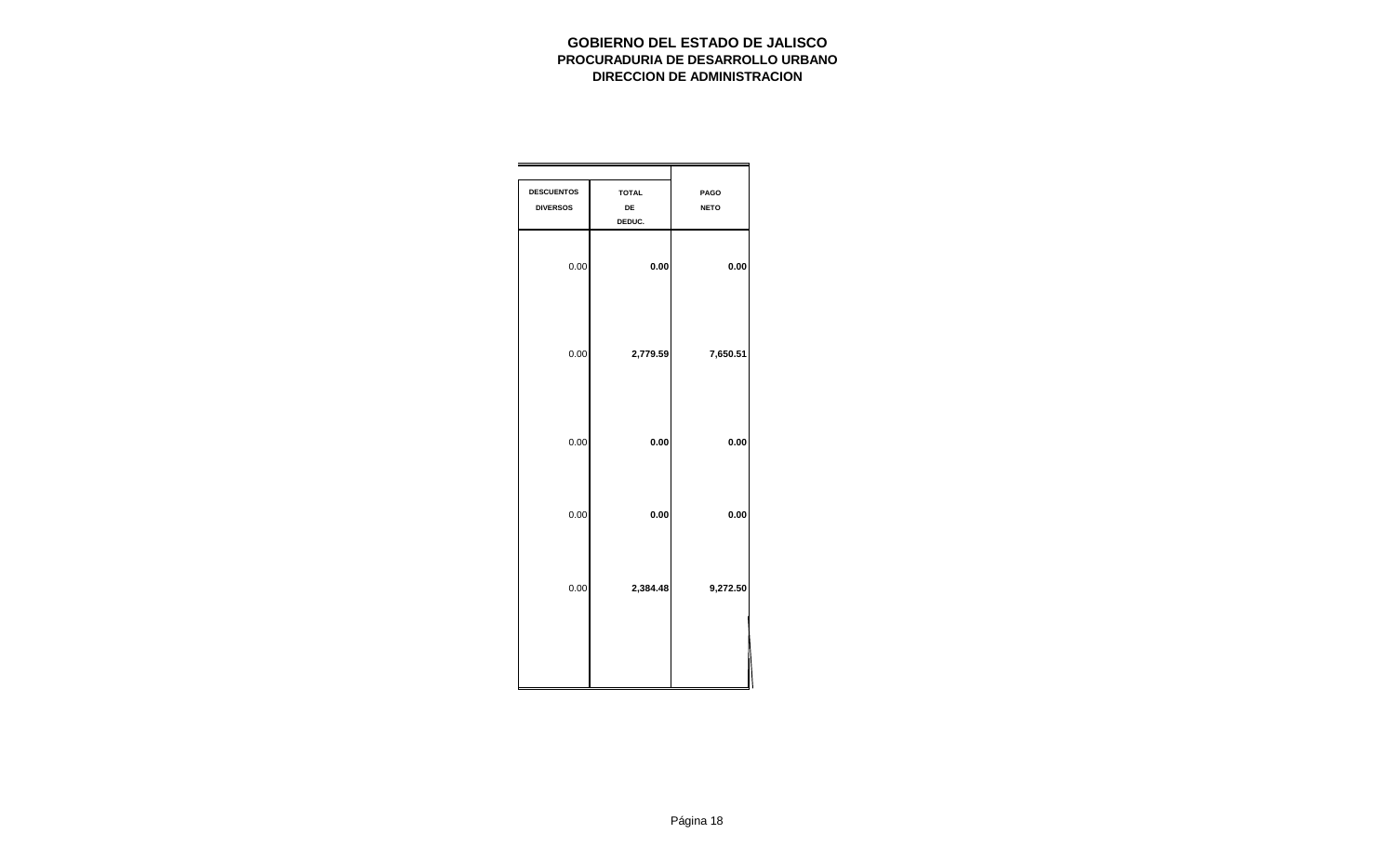| PAGO<br><b>NETO</b> | <b>TOTAL</b><br>DE<br>DEDUC. | <b>DESCUENTOS</b><br><b>DIVERSOS</b> |
|---------------------|------------------------------|--------------------------------------|
| 0.00                | 0.00                         | 0.00                                 |
| 7,650.51            | 2,779.59                     | 0.00                                 |
| 0.00                | 0.00                         | 0.00                                 |
| 0.00                | 0.00                         | 0.00                                 |
| 9,272.50            | 2,384.48                     | 0.00                                 |
|                     |                              |                                      |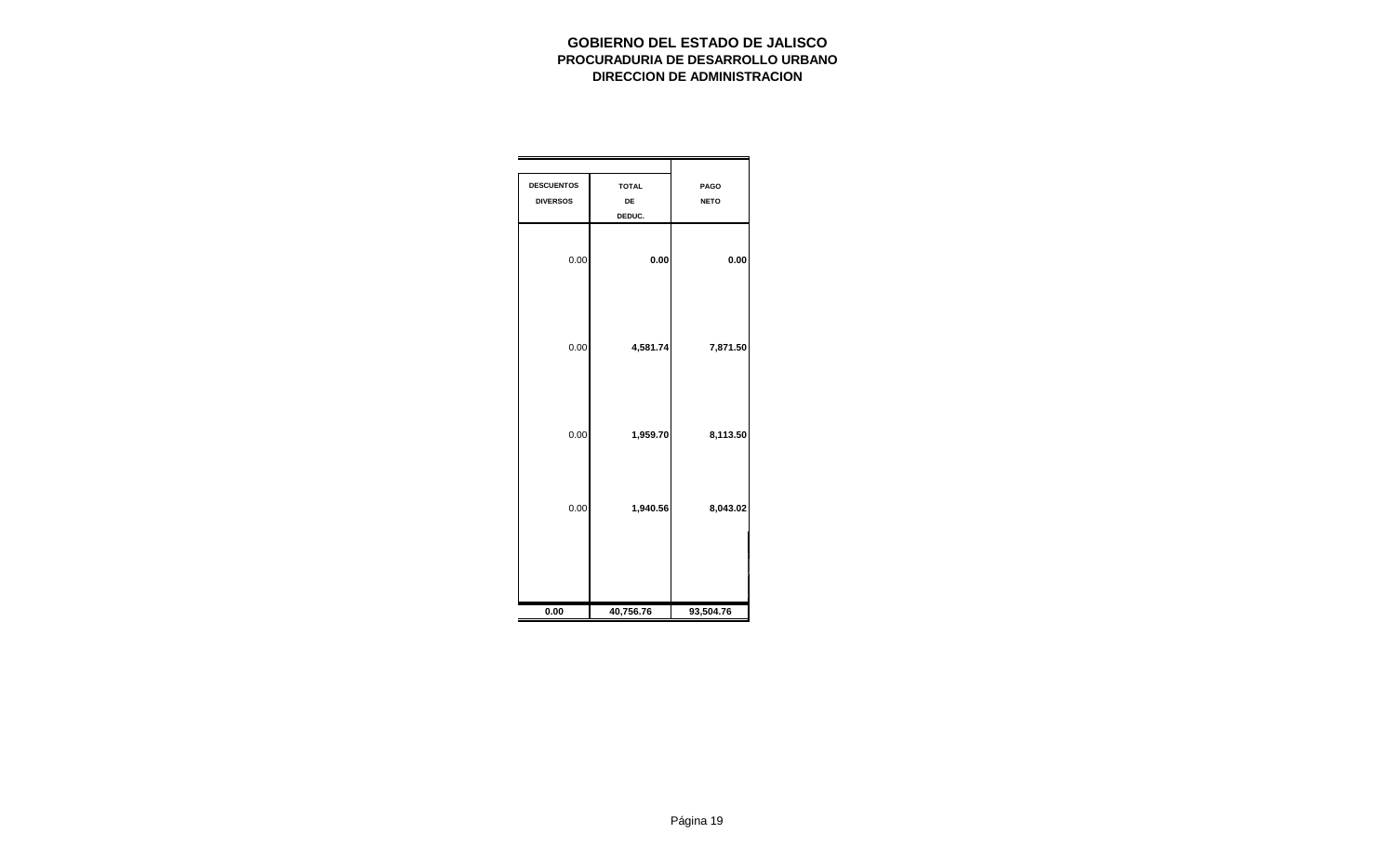| <b>DESCUENTOS</b><br><b>DIVERSOS</b> | <b>TOTAL</b><br>DE<br>DEDUC. | PAGO<br><b>NETO</b> |
|--------------------------------------|------------------------------|---------------------|
| 0.00                                 | 0.00                         | 0.00                |
| 0.00                                 | 4,581.74                     | 7,871.50            |
| 0.00                                 | 1,959.70                     | 8,113.50            |
| 0.00                                 | 1,940.56                     | 8,043.02            |
| 0.00                                 | 40,756.76                    | 93,504.76           |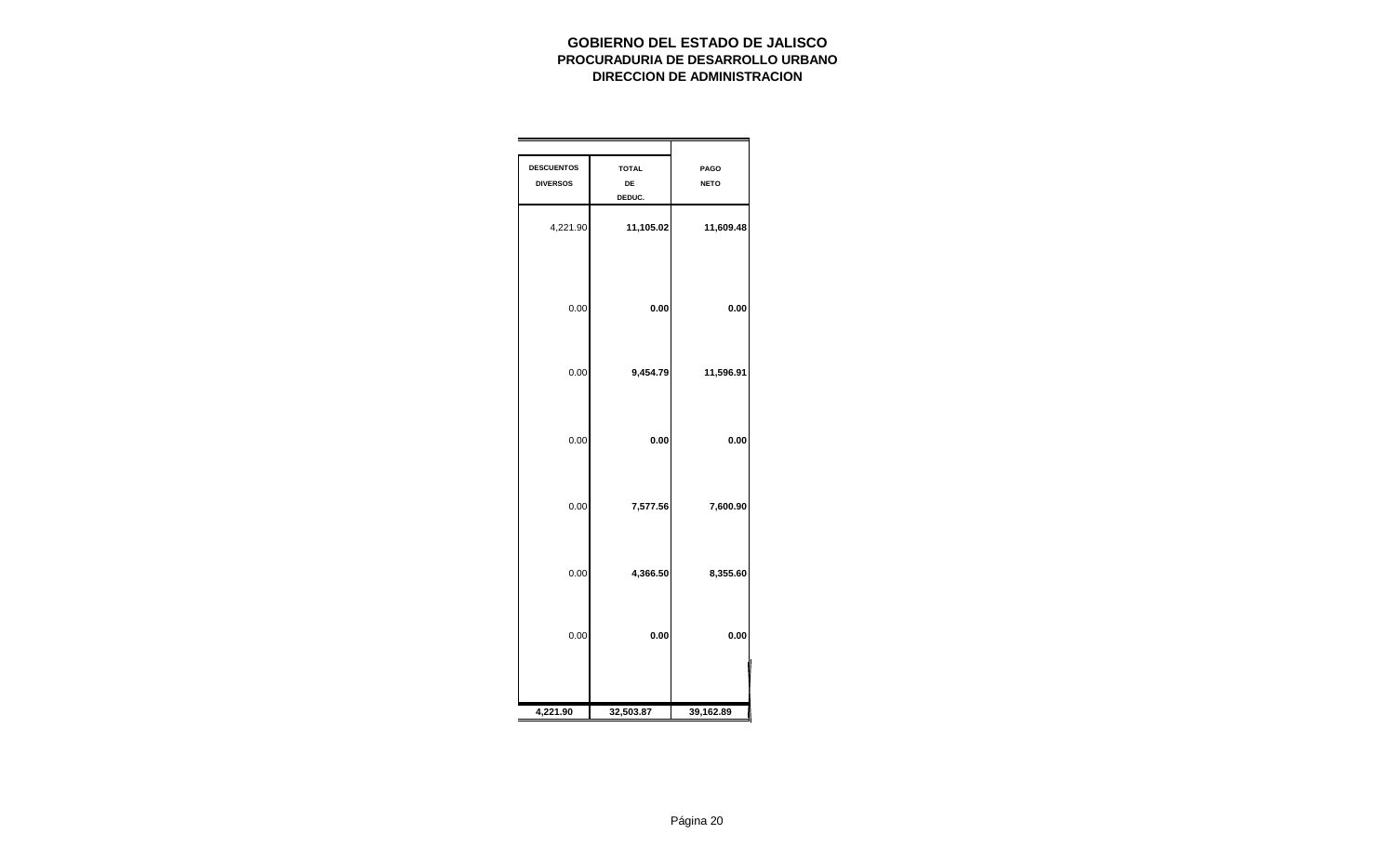| <b>DESCUENTOS</b><br><b>DIVERSOS</b> | <b>TOTAL</b><br>DE<br>DEDUC. | <b>PAGO</b><br><b>NETO</b> |
|--------------------------------------|------------------------------|----------------------------|
| 4,221.90                             | 11,105.02                    | 11,609.48                  |
| 0.00                                 | 0.00                         | 0.00                       |
| 0.00                                 | 9,454.79                     | 11,596.91                  |
| 0.00                                 | 0.00                         | 0.00                       |
| 0.00                                 | 7,577.56                     | 7,600.90                   |
| 0.00                                 | 4,366.50                     | 8,355.60                   |
| 0.00                                 | 0.00                         | 0.00                       |
| 4,221.90                             | 32,503.87                    | 39,162.89                  |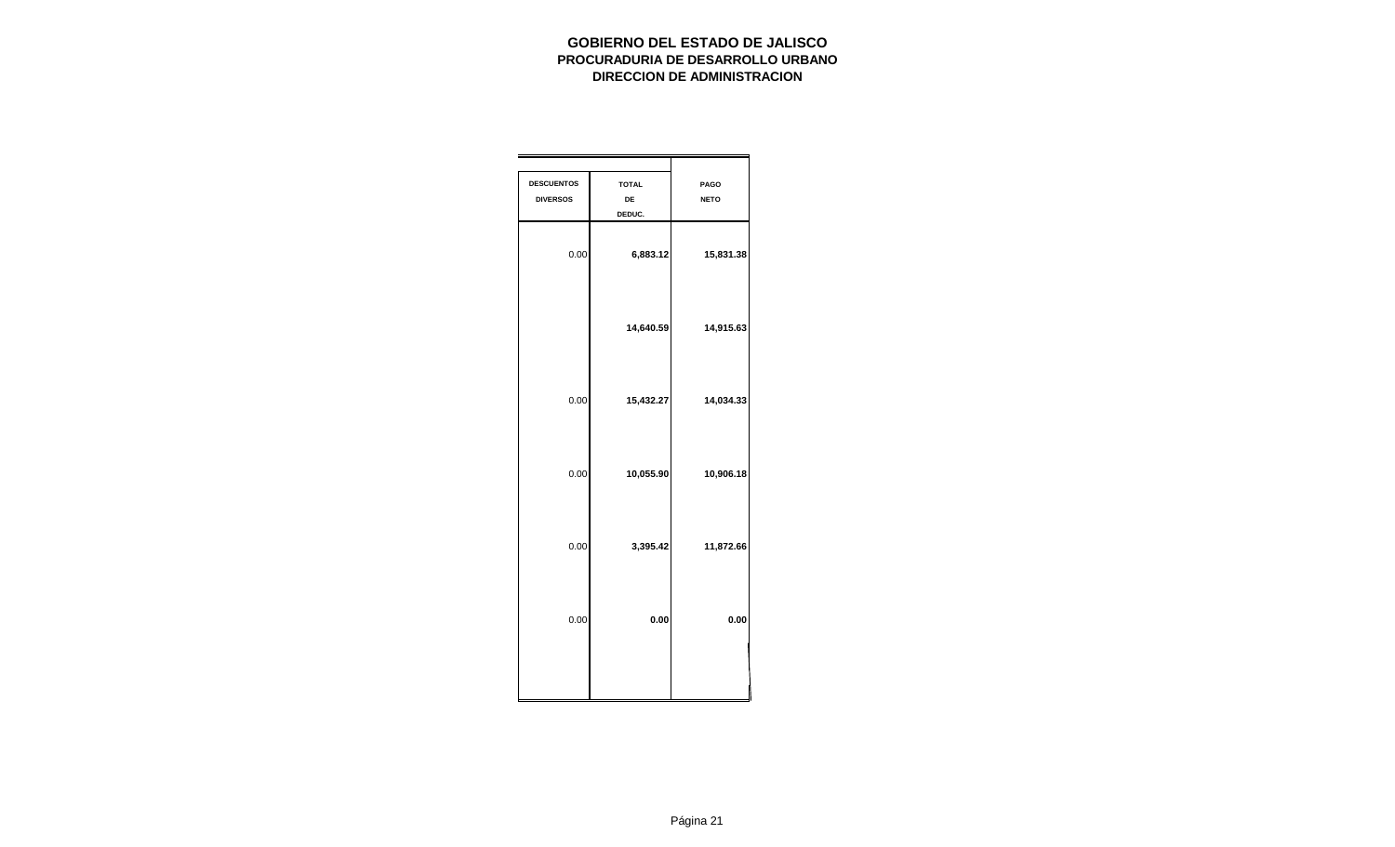| <b>PAGO</b><br><b>NETO</b> | <b>TOTAL</b><br>DE<br>DEDUC. | <b>DESCUENTOS</b><br><b>DIVERSOS</b> |
|----------------------------|------------------------------|--------------------------------------|
| 15,831.38                  | 6,883.12                     | 0.00                                 |
| 14,915.63                  | 14,640.59                    |                                      |
| 14,034.33                  | 15,432.27                    | 0.00                                 |
| 10,906.18                  | 10,055.90                    | 0.00                                 |
| 11,872.66                  | 3,395.42                     | 0.00                                 |
| 0.00                       | 0.00                         | 0.00                                 |
|                            |                              |                                      |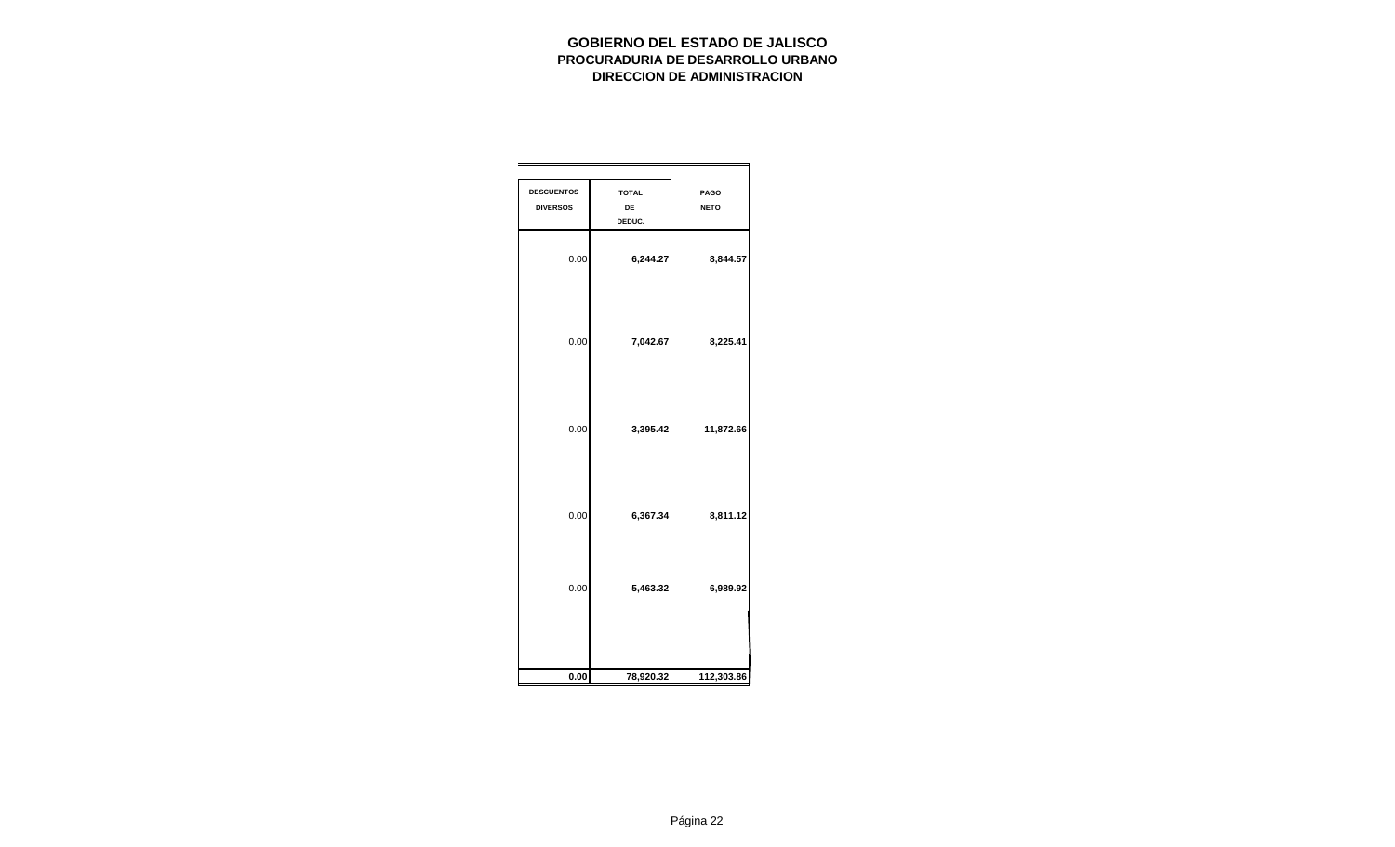| <b>DESCUENTOS</b><br><b>DIVERSOS</b> | <b>TOTAL</b><br>DE<br>DEDUC. | PAGO<br><b>NETO</b> |
|--------------------------------------|------------------------------|---------------------|
| 0.00                                 | 6,244.27                     | 8,844.57            |
| 0.00                                 | 7,042.67                     | 8,225.41            |
| 0.00                                 | 3,395.42                     | 11,872.66           |
| 0.00                                 | 6,367.34                     | 8,811.12            |
| 0.00                                 | 5,463.32                     | 6,989.92            |
| 0.00                                 | 78,920.32                    | 112,303.86          |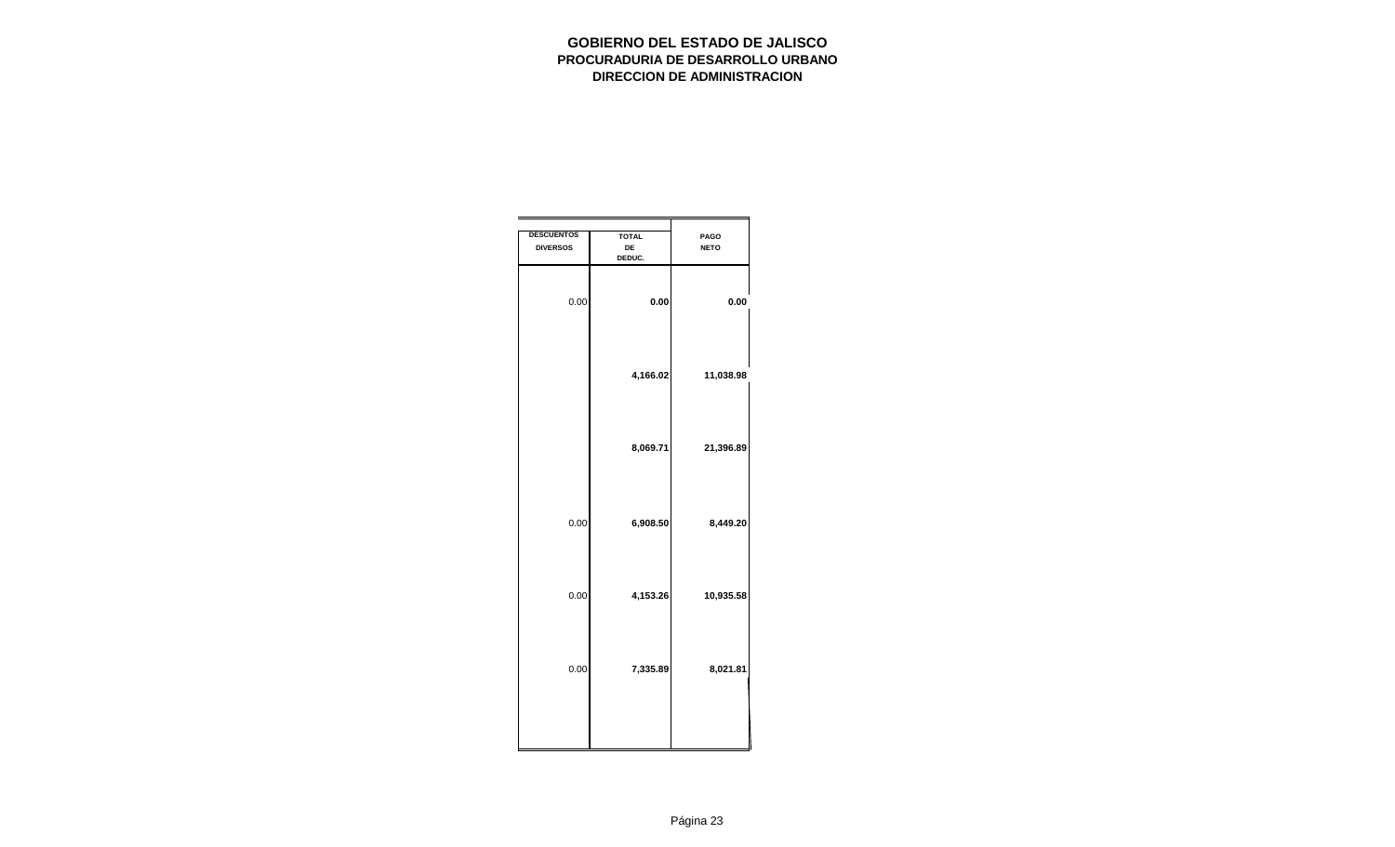| <b>DESCUENTOS</b><br><b>DIVERSOS</b> | <b>TOTAL</b><br>DE<br>DEDUC. | PAGO<br><b>NETO</b> |
|--------------------------------------|------------------------------|---------------------|
| 0.00                                 | 0.00                         | 0.00                |
|                                      | 4,166.02                     | 11,038.98           |
|                                      | 8,069.71                     | 21,396.89           |
| 0.00                                 | 6,908.50                     | 8,449.20            |
| 0.00                                 | 4,153.26                     | 10,935.58           |
| 0.00                                 | 7,335.89                     | 8,021.81            |
|                                      |                              |                     |